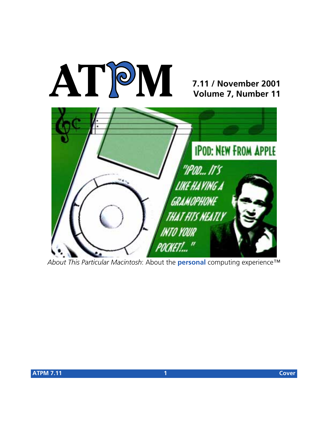

# **7.11 / November 2001 Volume 7, Number 11**



*About This Particular Macintosh*: About the **personal** computing experience™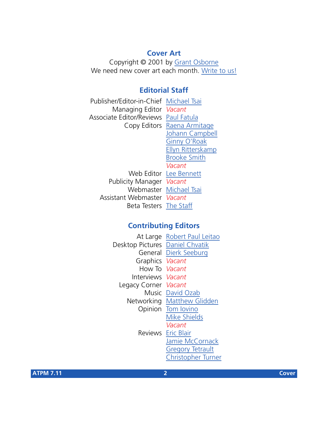#### **Cover Art**

Copyright © 2001 by [Grant Osborne](mailto:gosborne@atpm.com) We need new cover art each month. [Write to us!](mailto:cover-art@atpm.com)

# **Editorial Staff**

Publisher/Editor-in-Chief [Michael Tsai](mailto:mtsai@atpm.com) Managing Editor *Vacant* Associate Editor/Reviews [Paul Fatula](mailto:pfatula@atpm.com) Copy Editors [Raena Armitage](mailto:rarmitage@atpm.com) [Johann Campbell](mailto:jcampbell@atpm.com) [Ginny O'Roak](mailto:goroak@atpm.com) [Ellyn Ritterskamp](mailto:eritterskamp@atpm.com) [Brooke Smith](mailto:bsmith@atpm.com) *Vacant* Web Editor [Lee Bennett](mailto:lbennett@atpm.com) Publicity Manager *Vacant* Webmaster [Michael Tsai](mailto:mtsai@atpm.com) Assistant Webmaster *Vacant* Beta Testers [The Staff](mailto:editor@atpm.com)

# **Contributing Editors**

|                                 | At Large Robert Paul Leitao |
|---------------------------------|-----------------------------|
| Desktop Pictures Daniel Chvatik |                             |
|                                 | General Dierk Seeburg       |
| Graphics Vacant                 |                             |
| How To Vacant                   |                             |
| Interviews Vacant               |                             |
| Legacy Corner Vacant            |                             |
|                                 | Music David Ozab            |
|                                 | Networking Matthew Glidden  |
|                                 | Opinion Tom lovino          |
|                                 | <b>Mike Shields</b>         |
|                                 | Vacant                      |
|                                 | <b>Reviews</b> Eric Blair   |
|                                 | Jamie McCornack             |
|                                 | <b>Gregory Tetrault</b>     |
|                                 | Christopher Turner          |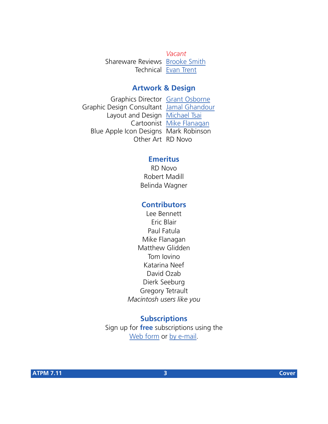*Vacant* Shareware Reviews [Brooke Smith](mailto:bsmith@atpm.com) Technical [Evan Trent](mailto:etrent@atpm.com)

#### **Artwork & Design**

Graphics Director [Grant Osborne](mailto:gosborne@atpm.com) Graphic Design Consultant [Jamal Ghandour](mailto:jghandour@atpm.com) Layout and Design [Michael Tsai](mailto:mtsai@atpm.com) Cartoonist [Mike Flanagan](mailto:sensible@sensible.screaming.net) Blue Apple Icon Designs Mark Robinson Other Art RD Novo

#### **Emeritus**

RD Novo Robert Madill Belinda Wagner

#### **Contributors**

Lee Bennett Eric Blair Paul Fatula Mike Flanagan Matthew Glidden Tom Iovino Katarina Neef David Ozab Dierk Seeburg Gregory Tetrault *Macintosh users like you*

# **Subscriptions**

Sign up for **free** subscriptions using the [Web form](http://www.atpm.com/subscribe/) or [by e-mail.](mailto:subscriptions@atpm.com)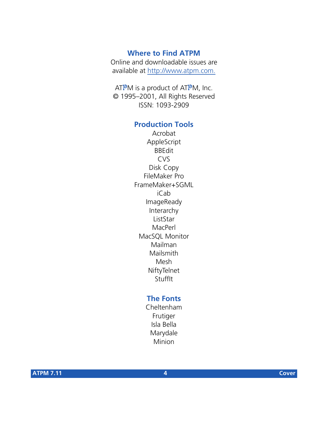#### **Where to Find ATPM**

Online and downloadable issues are available at [http://www.atpm.com.](http://www.atpm.com)

ATPM is a product of ATPM, Inc. © 1995–2001, All Rights Reserved ISSN: 1093-2909

## **Production Tools**

Acrobat AppleScript BBEdit CVS Disk Copy FileMaker Pro FrameMaker+SGML iCab ImageReady Interarchy ListStar MacPerl MacSQL Monitor Mailman Mailsmith Mesh **NiftyTelnet** StuffIt

#### **The Fonts**

Cheltenham Frutiger Isla Bella Marydale Minion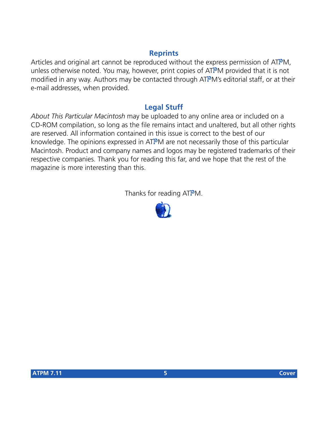### **Reprints**

Articles and original art cannot be reproduced without the express permission of ATPM, unless otherwise noted. You may, however, print copies of ATPM provided that it is not modified in any way. Authors may be contacted through ATPM's editorial staff, or at their e-mail addresses, when provided.

# **Legal Stuff**

*About This Particular Macintosh* may be uploaded to any online area or included on a CD-ROM compilation, so long as the file remains intact and unaltered, but all other rights are reserved. All information contained in this issue is correct to the best of our knowledge. The opinions expressed in ATPM are not necessarily those of this particular Macintosh. Product and company names and logos may be registered trademarks of their respective companies. Thank you for reading this far, and we hope that the rest of the magazine is more interesting than this.

Thanks for reading ATPM.

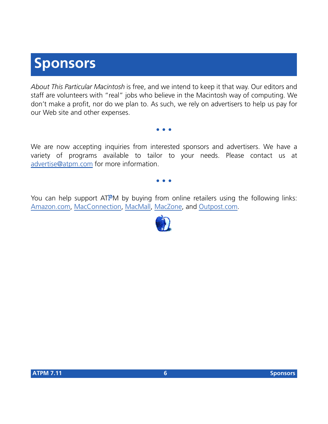# **Sponsors**

*About This Particular Macintosh* is free, and we intend to keep it that way. Our editors and staff are volunteers with "real" jobs who believe in the Macintosh way of computing. We don't make a profit, nor do we plan to. As such, we rely on advertisers to help us pay for our Web site and other expenses.

We are now accepting inquiries from interested sponsors and advertisers. We have a variety of programs available to tailor to your needs. Please contact us at [advertise@atpm.com](mailto:advertise@atpm.com) for more information.

**• • •**

**• • •**

You can help support ATPM by buying from online retailers using the following links: [Amazon.com](http://www.amazon.com/exec/obidos/redirect-home/aboutthisparticu), [MacConnection](http://service.bfast.com/bfast/click/mid9452939?siteid=13311227&bfpage=machomepage), [MacMall](http://www.commission-junction.com/track/track.dll?AID=53427&PID=297078&URL=http%3A%2F%2Fwww%2Emacmall%2Ecom%2Fmacaffiliate), [MacZone,](http://service.bfast.com/bfast/click?bfmid=1942029&siteid=26240435&bfpage=mac_zone) and [Outpost.com.](http://www.linksynergy.com/fs-bin/stat?id=N00D3BtDeo0&offerid=2161&type=3)

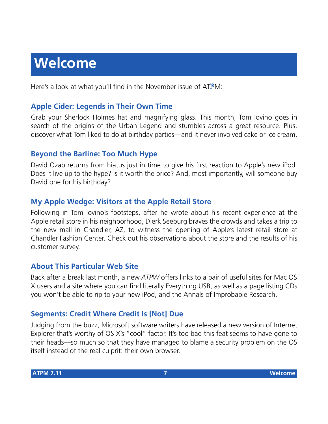# **Welcome**

Here's a look at what you'll find in the November issue of ATPM:

# **Apple Cider: Legends in Their Own Time**

Grab your Sherlock Holmes hat and magnifying glass. This month, Tom Iovino goes in search of the origins of the Urban Legend and stumbles across a great resource. Plus, discover what Tom liked to do at birthday parties—and it never involved cake or ice cream.

### **Beyond the Barline: Too Much Hype**

David Ozab returns from hiatus just in time to give his first reaction to Apple's new iPod. Does it live up to the hype? Is it worth the price? And, most importantly, will someone buy David one for his birthday?

# **My Apple Wedge: Visitors at the Apple Retail Store**

Following in Tom Iovino's footsteps, after he wrote about his recent experience at the Apple retail store in his neighborhood, Dierk Seeburg braves the crowds and takes a trip to the new mall in Chandler, AZ, to witness the opening of Apple's latest retail store at Chandler Fashion Center. Check out his observations about the store and the results of his customer survey.

### **About This Particular Web Site**

Back after a break last month, a new *ATPW* offers links to a pair of useful sites for Mac OS X users and a site where you can find literally Everything USB, as well as a page listing CDs you won't be able to rip to your new iPod, and the Annals of Improbable Research.

# **Segments: Credit Where Credit Is [Not] Due**

Judging from the buzz, Microsoft software writers have released a new version of Internet Explorer that's worthy of OS X's "cool" factor. It's too bad this feat seems to have gone to their heads—so much so that they have managed to blame a security problem on the OS itself instead of the real culprit: their own browser.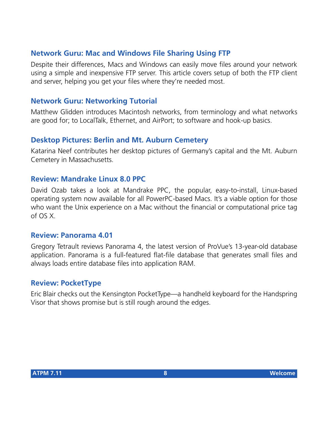# **Network Guru: Mac and Windows File Sharing Using FTP**

Despite their differences, Macs and Windows can easily move files around your network using a simple and inexpensive FTP server. This article covers setup of both the FTP client and server, helping you get your files where they're needed most.

#### **Network Guru: Networking Tutorial**

Matthew Glidden introduces Macintosh networks, from terminology and what networks are good for; to LocalTalk, Ethernet, and AirPort; to software and hook-up basics.

#### **Desktop Pictures: Berlin and Mt. Auburn Cemetery**

Katarina Neef contributes her desktop pictures of Germany's capital and the Mt. Auburn Cemetery in Massachusetts.

#### **Review: Mandrake Linux 8.0 PPC**

David Ozab takes a look at Mandrake PPC, the popular, easy-to-install, Linux-based operating system now available for all PowerPC-based Macs. It's a viable option for those who want the Unix experience on a Mac without the financial or computational price tag of OS X.

#### **Review: Panorama 4.01**

Gregory Tetrault reviews Panorama 4, the latest version of ProVue's 13-year-old database application. Panorama is a full-featured flat-file database that generates small files and always loads entire database files into application RAM.

#### **Review: PocketType**

Eric Blair checks out the Kensington PocketType—a handheld keyboard for the Handspring Visor that shows promise but is still rough around the edges.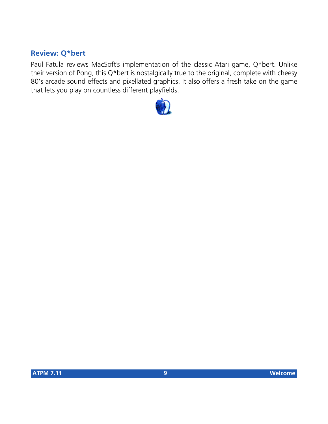# **Review: Q\*bert**

Paul Fatula reviews MacSoft's implementation of the classic Atari game, Q\*bert. Unlike their version of Pong, this Q\*bert is nostalgically true to the original, complete with cheesy 80's arcade sound effects and pixellated graphics. It also offers a fresh take on the game that lets you play on countless different playfields.

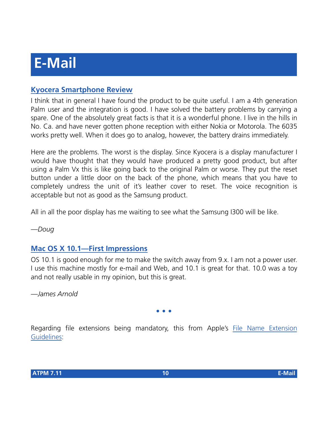# **[Kyocera Smartphone Review](http://www.atpm.com/7.08/smartphone.shtml)**

I think that in general I have found the product to be quite useful. I am a 4th generation Palm user and the integration is good. I have solved the battery problems by carrying a spare. One of the absolutely great facts is that it is a wonderful phone. I live in the hills in No. Ca. and have never gotten phone reception with either Nokia or Motorola. The 6035 works pretty well. When it does go to analog, however, the battery drains immediately.

Here are the problems. The worst is the display. Since Kyocera is a display manufacturer I would have thought that they would have produced a pretty good product, but after using a Palm Vx this is like going back to the original Palm or worse. They put the reset button under a little door on the back of the phone, which means that you have to completely undress the unit of it's leather cover to reset. The voice recognition is acceptable but not as good as the Samsung product.

All in all the poor display has me waiting to see what the Samsung I300 will be like.

*—Doug*

# **[Mac OS X 10.1—First Impressions](http://www.atpm.com/7.10/paradigm.shtml)**

OS 10.1 is good enough for me to make the switch away from 9.x. I am not a power user. I use this machine mostly for e-mail and Web, and 10.1 is great for that. 10.0 was a toy and not really usable in my opinion, but this is great.

*—James Arnold*

#### **• • •**

Regarding file extensions being mandatory, this from Apple's [File Name Extension](http://developer.apple.com/techpubs/macosx/ReleaseNotes/FileExtensionGuidelines.html) [Guidelines](http://developer.apple.com/techpubs/macosx/ReleaseNotes/FileExtensionGuidelines.html):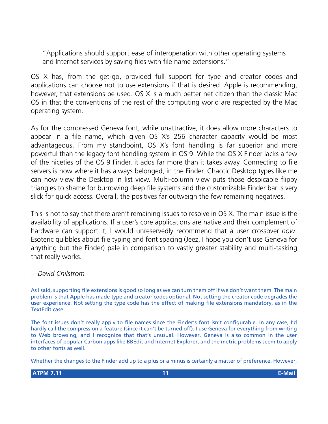"Applications should support ease of interoperation with other operating systems and Internet services by saving files with file name extensions."

OS X has, from the get-go, provided full support for type and creator codes and applications can choose not to use extensions if that is desired. Apple is recommending, however, that extensions be used. OS X is a much better net citizen than the classic Mac OS in that the conventions of the rest of the computing world are respected by the Mac operating system.

As for the compressed Geneva font, while unattractive, it does allow more characters to appear in a file name, which given OS X's 256 character capacity would be most advantageous. From my standpoint, OS X's font handling is far superior and more powerful than the legacy font handling system in OS 9. While the OS X Finder lacks a few of the niceties of the OS 9 Finder, it adds far more than it takes away. Connecting to file servers is now where it has always belonged, in the Finder. Chaotic Desktop types like me can now view the Desktop in list view. Multi-column view puts those despicable flippy triangles to shame for burrowing deep file systems and the customizable Finder bar is very slick for quick access. Overall, the positives far outweigh the few remaining negatives.

This is not to say that there aren't remaining issues to resolve in OS X. The main issue is the availability of applications. If a user's core applications are native and their complement of hardware can support it, I would unreservedly recommend that a user crossover *now*. Esoteric quibbles about file typing and font spacing (Jeez, I hope you don't use Geneva for anything but the Finder) pale in comparison to vastly greater stability and multi-tasking that really works.

#### *—David Chilstrom*

As I said, supporting file extensions is good so long as we can turn them off if we don't want them. The main problem is that Apple has made type and creator codes optional. Not setting the creator code degrades the user experience. Not setting the type code has the effect of making file extensions mandatory, as in the TextEdit case.

The font issues don't really apply to file names since the Finder's font isn't configurable. In any case, I'd hardly call the compression a feature (since it can't be turned off). I use Geneva for everything from writing to Web browsing, and I recognize that that's unusual. However, Geneva is also common in the user interfaces of popular Carbon apps like BBEdit and Internet Explorer, and the metric problems seem to apply to other fonts as well.

Whether the changes to the Finder add up to a plus or a minus is certainly a matter of preference. However,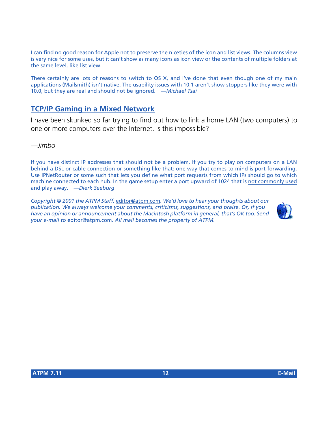I can find no good reason for Apple not to preserve the niceties of the icon and list views. The columns view is very nice for some uses, but it can't show as many icons as icon view or the contents of multiple folders at the same level, like list view.

There certainly are lots of reasons to switch to OS X, and I've done that even though one of my main applications (Mailsmith) isn't native. The usability issues with 10.1 aren't show-stoppers like they were with 10.0, but they are real and should not be ignored. *—Michael Tsai*

# **[TCP/IP Gaming in a Mixed Network](http://www.atpm.com/6.07/networking.shtml)**

I have been skunked so far trying to find out how to link a home LAN (two computers) to one or more computers over the Internet. Is this impossible?

*—Jimbo*

If you have distinct IP addresses that should not be a problem. If you try to play on computers on a LAN behind a DSL or cable connection or something like that: one way that comes to mind is port forwarding. Use IPNetRouter or some such that lets you define what port requests from which IPs should go to which machine connected to each hub. In the game setup enter a port upward of 1024 that is [not commonly used](http://remote-anything.com/tcp-ip_port_list.htm) and play away. *—Dierk Seeburg*

*Copyright © 2001 the ATPM Staff,* [editor@atpm.com](mailto:editor@atpm.com)*. We'd love to hear your thoughts about our publication. We always welcome your comments, criticisms, suggestions, and praise. Or, if you have an opinion or announcement about the Macintosh platform in general, that's OK too. Send your e-mail to* [editor@atpm.com](mailto:editor@atpm.com)*. All mail becomes the property of ATPM.*

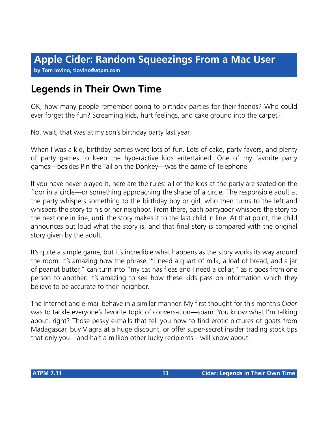## **by Tom Iovino, [tiovino@atpm.com](mailto:tiovino@atpm.com)**

# **Legends in Their Own Time**

OK, how many people remember going to birthday parties for their friends? Who could ever forget the fun? Screaming kids, hurt feelings, and cake ground into the carpet?

No, wait, that was at my son's birthday party last year.

When I was a kid, birthday parties were lots of fun. Lots of cake, party favors, and plenty of party games to keep the hyperactive kids entertained. One of my favorite party games—besides Pin the Tail on the Donkey—was the game of Telephone.

If you have never played it, here are the rules: all of the kids at the party are seated on the floor in a circle—or something approaching the shape of a circle. The responsible adult at the party whispers something to the birthday boy or girl, who then turns to the left and whispers the story to his or her neighbor. From there, each partygoer whispers the story to the next one in line, until the story makes it to the last child in line. At that point, the child announces out loud what the story is, and that final story is compared with the original story given by the adult.

It's quite a simple game, but it's incredible what happens as the story works its way around the room. It's amazing how the phrase, "I need a quart of milk, a loaf of bread, and a jar of peanut butter," can turn into "my cat has fleas and I need a collar," as it goes from one person to another. It's amazing to see how these kids pass on information which they believe to be accurate to their neighbor.

The Internet and e-mail behave in a similar manner. My first thought for this month's *Cider* was to tackle everyone's favorite topic of conversation—spam. You know what I'm talking about, right? Those pesky e-mails that tell you how to find erotic pictures of goats from Madagascar, buy Viagra at a huge discount, or offer super-secret insider trading stock tips that only you—and half a million other lucky recipients—will know about.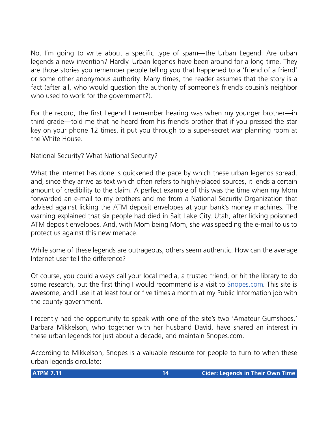No, I'm going to write about a specific type of spam—the Urban Legend. Are urban legends a new invention? Hardly. Urban legends have been around for a long time. They are those stories you remember people telling you that happened to a 'friend of a friend' or some other anonymous authority. Many times, the reader assumes that the story is a fact (after all, who would question the authority of someone's friend's cousin's neighbor who used to work for the government?).

For the record, the first Legend I remember hearing was when my younger brother—in third grade—told me that he heard from his friend's brother that if you pressed the star key on your phone 12 times, it put you through to a super-secret war planning room at the White House.

National Security? What National Security?

What the Internet has done is quickened the pace by which these urban legends spread, and, since they arrive as text which often refers to highly-placed sources, it lends a certain amount of credibility to the claim. A perfect example of this was the time when my Mom forwarded an e-mail to my brothers and me from a National Security Organization that advised against licking the ATM deposit envelopes at your bank's money machines. The warning explained that six people had died in Salt Lake City, Utah, after licking poisoned ATM deposit envelopes. And, with Mom being Mom, she was speeding the e-mail to us to protect us against this new menace.

While some of these legends are outrageous, others seem authentic. How can the average Internet user tell the difference?

Of course, you could always call your local media, a trusted friend, or hit the library to do some research, but the first thing I would recommend is a visit to [Snopes.com.](http://www.snopes2.com) This site is awesome, and I use it at least four or five times a month at my Public Information job with the county government.

I recently had the opportunity to speak with one of the site's two 'Amateur Gumshoes,' Barbara Mikkelson, who together with her husband David, have shared an interest in these urban legends for just about a decade, and maintain Snopes.com.

According to Mikkelson, Snopes is a valuable resource for people to turn to when these urban legends circulate: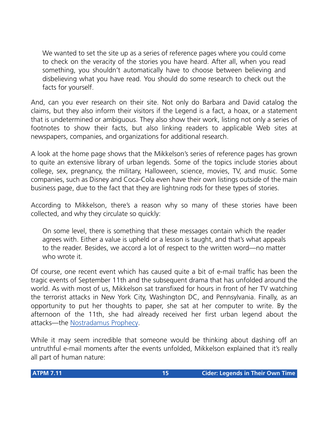We wanted to set the site up as a series of reference pages where you could come to check on the veracity of the stories you have heard. After all, when you read something, you shouldn't automatically have to choose between believing and disbelieving what you have read. You should do some research to check out the facts for yourself.

And, can you ever research on their site. Not only do Barbara and David catalog the claims, but they also inform their visitors if the Legend is a fact, a hoax, or a statement that is undetermined or ambiguous. They also show their work, listing not only a series of footnotes to show their facts, but also linking readers to applicable Web sites at newspapers, companies, and organizations for additional research.

A look at the home page shows that the Mikkelson's series of reference pages has grown to quite an extensive library of urban legends. Some of the topics include stories about college, sex, pregnancy, the military, Halloween, science, movies, TV, and music. Some companies, such as Disney and Coca-Cola even have their own listings outside of the main business page, due to the fact that they are lightning rods for these types of stories.

According to Mikkelson, there's a reason why so many of these stories have been collected, and why they circulate so quickly:

On some level, there is something that these messages contain which the reader agrees with. Either a value is upheld or a lesson is taught, and that's what appeals to the reader. Besides, we accord a lot of respect to the written word—no matter who wrote it

Of course, one recent event which has caused quite a bit of e-mail traffic has been the tragic events of September 11th and the subsequent drama that has unfolded around the world. As with most of us, Mikkelson sat transfixed for hours in front of her TV watching the terrorist attacks in New York City, Washington DC, and Pennsylvania. Finally, as an opportunity to put her thoughts to paper, she sat at her computer to write. By the afternoon of the 11th, she had already received her first urban legend about the attacks—the [Nostradamus Prophecy.](http://www.snopes2.com/rumors/predict.htm)

While it may seem incredible that someone would be thinking about dashing off an untruthful e-mail moments after the events unfolded, Mikkelson explained that it's really all part of human nature: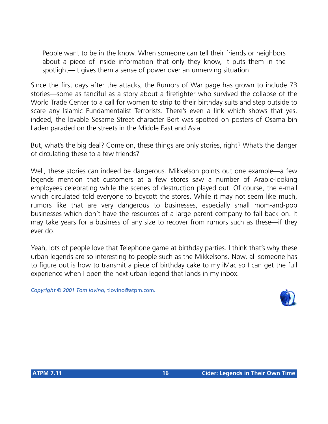People want to be in the know. When someone can tell their friends or neighbors about a piece of inside information that only they know, it puts them in the spotlight—it gives them a sense of power over an unnerving situation.

Since the first days after the attacks, the Rumors of War page has grown to include 73 stories—some as fanciful as a story about a firefighter who survived the collapse of the World Trade Center to a call for women to strip to their birthday suits and step outside to scare any Islamic Fundamentalist Terrorists. There's even a link which shows that yes, indeed, the lovable Sesame Street character Bert was spotted on posters of Osama bin Laden paraded on the streets in the Middle East and Asia.

But, what's the big deal? Come on, these things are only stories, right? What's the danger of circulating these to a few friends?

Well, these stories can indeed be dangerous. Mikkelson points out one example—a few legends mention that customers at a few stores saw a number of Arabic-looking employees celebrating while the scenes of destruction played out. Of course, the e-mail which circulated told everyone to boycott the stores. While it may not seem like much, rumors like that are very dangerous to businesses, especially small mom-and-pop businesses which don't have the resources of a large parent company to fall back on. It may take years for a business of any size to recover from rumors such as these—if they ever do.

Yeah, lots of people love that Telephone game at birthday parties. I think that's why these urban legends are so interesting to people such as the Mikkelsons. Now, all someone has to figure out is how to transmit a piece of birthday cake to my iMac so I can get the full experience when I open the next urban legend that lands in my inbox.

*Copyright © 2001 Tom Iovino,* [tiovino@atpm.com](mailto:tiovino@atpm.com)*.*

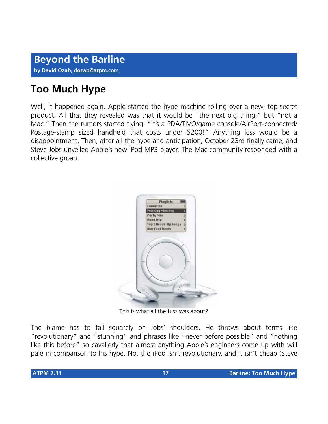# **Too Much Hype**

Well, it happened again. Apple started the hype machine rolling over a new, top-secret product. All that they revealed was that it would be "the next big thing," but "not a Mac." Then the rumors started flying. "It's a PDA/TiVO/game console/AirPort-connected/ Postage-stamp sized handheld that costs under \$200!" Anything less would be a disappointment. Then, after all the hype and anticipation, October 23rd finally came, and Steve Jobs unveiled Apple's new iPod MP3 player. The Mac community responded with a collective groan.



This is what all the fuss was about?

The blame has to fall squarely on Jobs' shoulders. He throws about terms like "revolutionary" and "stunning" and phrases like "never before possible" and "nothing like this before" so cavalierly that almost anything Apple's engineers come up with will pale in comparison to his hype. No, the iPod isn't revolutionary, and it isn't cheap (Steve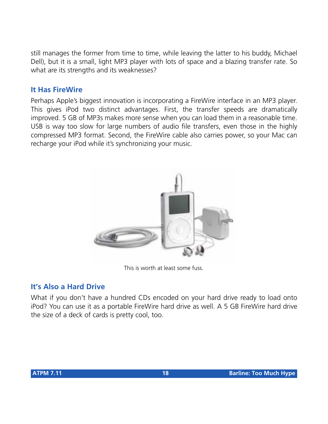still manages the former from time to time, while leaving the latter to his buddy, Michael Dell), but it is a small, light MP3 player with lots of space and a blazing transfer rate. So what are its strengths and its weaknesses?

# **It Has FireWire**

Perhaps Apple's biggest innovation is incorporating a FireWire interface in an MP3 player. This gives iPod two distinct advantages. First, the transfer speeds are dramatically improved. 5 GB of MP3s makes more sense when you can load them in a reasonable time. USB is way too slow for large numbers of audio file transfers, even those in the highly compressed MP3 format. Second, the FireWire cable also carries power, so your Mac can recharge your iPod while it's synchronizing your music.



This is worth at least some fuss.

# **It's Also a Hard Drive**

What if you don't have a hundred CDs encoded on your hard drive ready to load onto iPod? You can use it as a portable FireWire hard drive as well. A 5 GB FireWire hard drive the size of a deck of cards is pretty cool, too.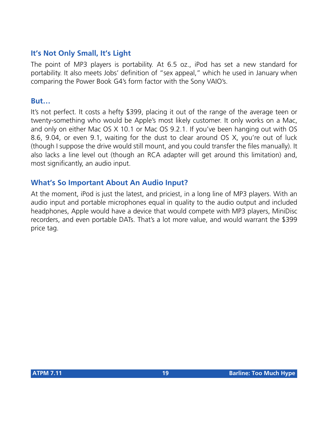# **It's Not Only Small, It's Light**

The point of MP3 players is portability. At 6.5 oz., iPod has set a new standard for portability. It also meets Jobs' definition of "sex appeal," which he used in January when comparing the Power Book G4's form factor with the Sony VAIO's.

#### **But…**

It's not perfect. It costs a hefty \$399, placing it out of the range of the average teen or twenty-something who would be Apple's most likely customer. It only works on a Mac, and only on either Mac OS X 10.1 or Mac OS 9.2.1. If you've been hanging out with OS 8.6, 9.04, or even 9.1, waiting for the dust to clear around OS X, you're out of luck (though I suppose the drive would still mount, and you could transfer the files manually). It also lacks a line level out (though an RCA adapter will get around this limitation) and, most significantly, an audio input.

### **What's So Important About An Audio Input?**

At the moment, iPod is just the latest, and priciest, in a long line of MP3 players. With an audio input and portable microphones equal in quality to the audio output and included headphones, Apple would have a device that would compete with MP3 players, MiniDisc recorders, and even portable DATs. That's a lot more value, and would warrant the \$399 price tag.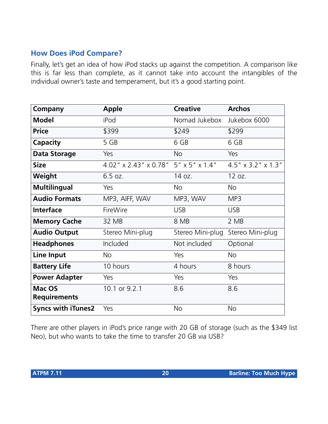# **How Does iPod Compare?**

Finally, let's get an idea of how iPod stacks up against the competition. A comparison like this is far less than complete, as it cannot take into account the intangibles of the individual owner's taste and temperament, but it's a good starting point.

| Company                       | <b>Apple</b>                         | <b>Creative</b>  | <b>Archos</b>      |
|-------------------------------|--------------------------------------|------------------|--------------------|
| <b>Model</b>                  | iPod                                 | Nomad Jukebox    | Jukebox 6000       |
| <b>Price</b>                  | \$399                                | \$249            | \$299              |
| Capacity                      | 5 GB                                 | 6 GB             | 6 GB               |
| <b>Data Storage</b>           | Yes                                  | <b>No</b>        | Yes                |
| <b>Size</b>                   | 4.02" x 2.43" x 0.78" 5" x 5" x 1.4" |                  | 4.5" x 3.2" x 1.3" |
| Weight                        | 6.5 oz.                              | 14 oz.           | 12 oz.             |
| <b>Multilingual</b>           | Yes                                  | <b>No</b>        | <b>No</b>          |
| <b>Audio Formats</b>          | MP3, AIFF, WAV                       | MP3, WAV         | MP3                |
| <b>Interface</b>              | FireWire                             | <b>USB</b>       | <b>USB</b>         |
| <b>Memory Cache</b>           | 32 MB                                | 8 MB             | 2 MB               |
| <b>Audio Output</b>           | Stereo Mini-plug                     | Stereo Mini-plug | Stereo Mini-plug   |
| <b>Headphones</b>             | Included                             | Not included     | Optional           |
| <b>Line Input</b>             | No.                                  | Yes              | No                 |
| <b>Battery Life</b>           | 10 hours                             | 4 hours          | 8 hours            |
| <b>Power Adapter</b>          | Yes                                  | Yes              | Yes                |
| Mac OS<br><b>Requirements</b> | 10.1 or 9.2.1                        | 8.6              | 8.6                |
| <b>Syncs with iTunes2</b>     | Yes                                  | <b>No</b>        | <b>No</b>          |

There are other players in iPod's price range with 20 GB of storage (such as the \$349 list Neo), but who wants to take the time to transfer 20 GB via USB?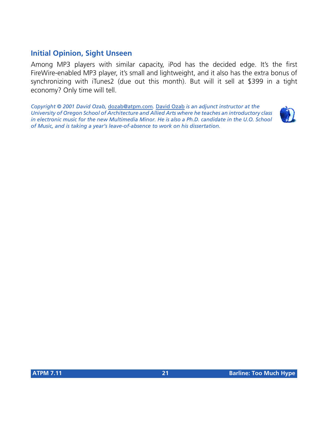# **Initial Opinion, Sight Unseen**

Among MP3 players with similar capacity, iPod has the decided edge. It's the first FireWire-enabled MP3 player, it's small and lightweight, and it also has the extra bonus of synchronizing with iTunes2 (due out this month). But will it sell at \$399 in a tight economy? Only time will tell.

*Copyright © 2001 David Ozab,* [dozab@atpm.com](mailto:dozab@atpm.com)*.* [David Ozab](http://darkwing.uoregon.edu/%7Edlo) *is an adjunct instructor at the University of Oregon School of Architecture and Allied Arts where he teaches an introductory class*  in electronic music for the new Multimedia Minor. He is also a Ph.D. candidate in the U.O. School *of Music, and is taking a year's leave-of-absence to work on his dissertation.*

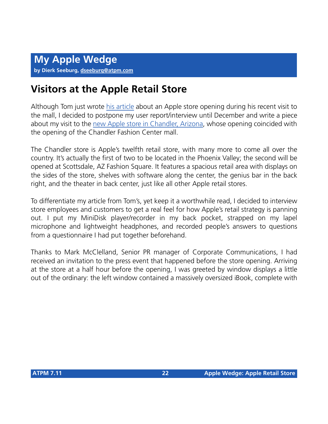# **Visitors at the Apple Retail Store**

Although Tom just wrote [his article](http://www.atpm.com/7.10/cider.shtml) about an Apple store opening during his recent visit to the mall, I decided to postpone my user report/interview until December and write a piece about my visit to the [new Apple store in Chandler, Arizona,](http://www.apple.com/retail/chandler/) whose opening coincided with the opening of the Chandler Fashion Center mall.

The Chandler store is Apple's twelfth retail store, with many more to come all over the country. It's actually the first of two to be located in the Phoenix Valley; the second will be opened at Scottsdale, AZ Fashion Square. It features a spacious retail area with displays on the sides of the store, shelves with software along the center, the genius bar in the back right, and the theater in back center, just like all other Apple retail stores.

To differentiate my article from Tom's, yet keep it a worthwhile read, I decided to interview store employees and customers to get a real feel for how Apple's retail strategy is panning out. I put my MiniDisk player/recorder in my back pocket, strapped on my lapel microphone and lightweight headphones, and recorded people's answers to questions from a questionnaire I had put together beforehand.

Thanks to Mark McClelland, Senior PR manager of Corporate Communications, I had received an invitation to the press event that happened before the store opening. Arriving at the store at a half hour before the opening, I was greeted by window displays a little out of the ordinary: the left window contained a massively oversized iBook, complete with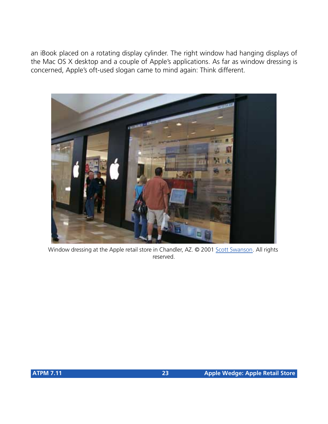an iBook placed on a rotating display cylinder. The right window had hanging displays of the Mac OS X desktop and a couple of Apple's applications. As far as window dressing is concerned, Apple's oft-used slogan came to mind again: Think different.



Window dressing at the Apple retail store in Chandler, AZ. @ 2001 [Scott Swanson.](mailto:scott@swansong.com) All rights reserved.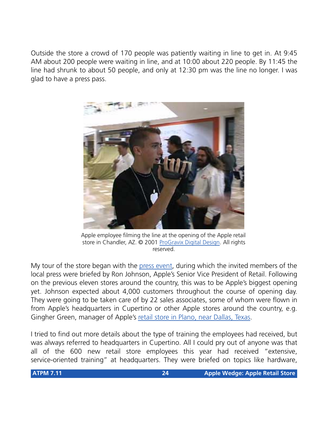Outside the store a crowd of 170 people was patiently waiting in line to get in. At 9:45 AM about 200 people were waiting in line, and at 10:00 about 220 people. By 11:45 the line had shrunk to about 50 people, and only at 12:30 pm was the line no longer. I was glad to have a press pass.



Apple employee filming the line at the opening of the Apple retail store in Chandler, AZ. © 2001 [ProGravix Digital Design](http://www.progravix.com). All rights reserved.

My tour of the store began with the [press event,](http://www.apple.com/pr/) during which the invited members of the local press were briefed by Ron Johnson, Apple's Senior Vice President of Retail. Following on the previous eleven stores around the country, this was to be Apple's biggest opening yet. Johnson expected about 4,000 customers throughout the course of opening day. They were going to be taken care of by 22 sales associates, some of whom were flown in from Apple's headquarters in Cupertino or other Apple stores around the country, e.g. Gingher Green, manager of Apple's [retail store in Plano, near Dallas, Texas](http://www.apple.com/retail/willowbend/).

I tried to find out more details about the type of training the employees had received, but was always referred to headquarters in Cupertino. All I could pry out of anyone was that all of the 600 new retail store employees this year had received "extensive, service-oriented training" at headquarters. They were briefed on topics like hardware,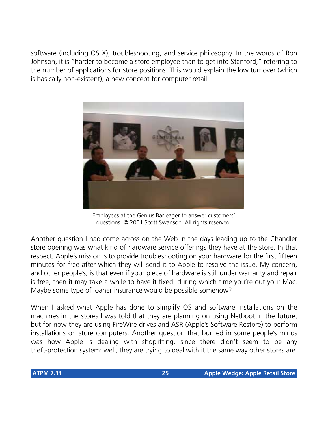software (including OS X), troubleshooting, and service philosophy. In the words of Ron Johnson, it is "harder to become a store employee than to get into Stanford," referring to the number of applications for store positions. This would explain the low turnover (which is basically non-existent), a new concept for computer retail.



Employees at the Genius Bar eager to answer customers' questions. © 2001 Scott Swanson. All rights reserved.

Another question I had come across on the Web in the days leading up to the Chandler store opening was what kind of hardware service offerings they have at the store. In that respect, Apple's mission is to provide troubleshooting on your hardware for the first fifteen minutes for free after which they will send it to Apple to resolve the issue. My concern, and other people's, is that even if your piece of hardware is still under warranty and repair is free, then it may take a while to have it fixed, during which time you're out your Mac. Maybe some type of loaner insurance would be possible somehow?

When I asked what Apple has done to simplify OS and software installations on the machines in the stores I was told that they are planning on using Netboot in the future, but for now they are using FireWire drives and ASR (Apple's Software Restore) to perform installations on store computers. Another question that burned in some people's minds was how Apple is dealing with shoplifting, since there didn't seem to be any theft-protection system: well, they are trying to deal with it the same way other stores are.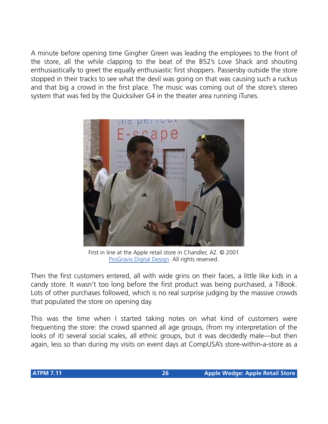A minute before opening time Gingher Green was leading the employees to the front of the store, all the while clapping to the beat of the B52's Love Shack and shouting enthusiastically to greet the equally enthusiastic first shoppers. Passersby outside the store stopped in their tracks to see what the devil was going on that was causing such a ruckus and that big a crowd in the first place. The music was coming out of the store's stereo system that was fed by the Quicksilver G4 in the theater area running iTunes.



First in line at the Apple retail store in Chandler, AZ. © 2001 [ProGravix Digital Design.](http://www.progravix.com) All rights reserved.

Then the first customers entered, all with wide grins on their faces, a little like kids in a candy store. It wasn't too long before the first product was being purchased, a TiBook. Lots of other purchases followed, which is no real surprise judging by the massive crowds that populated the store on opening day.

This was the time when I started taking notes on what kind of customers were frequenting the store: the crowd spanned all age groups, (from my interpretation of the looks of it) several social scales, all ethnic groups, but it was decidedly male—but then again, less so than during my visits on event days at CompUSA's store-within-a-store as a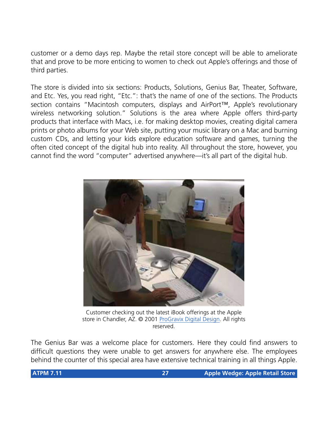customer or a demo days rep. Maybe the retail store concept will be able to ameliorate that and prove to be more enticing to women to check out Apple's offerings and those of third parties.

The store is divided into six sections: Products, Solutions, Genius Bar, Theater, Software, and Etc. Yes, you read right, "Etc.": that's the name of one of the sections. The Products section contains "Macintosh computers, displays and AirPort™, Apple's revolutionary wireless networking solution." Solutions is the area where Apple offers third-party products that interface with Macs, i.e. for making desktop movies, creating digital camera prints or photo albums for your Web site, putting your music library on a Mac and burning custom CDs, and letting your kids explore education software and games, turning the often cited concept of the digital hub into reality. All throughout the store, however, you cannot find the word "computer" advertised anywhere—it's all part of the digital hub.



Customer checking out the latest iBook offerings at the Apple store in Chandler, AZ. © 2001 [ProGravix Digital Design](http://www.progravix.com). All rights reserved.

The Genius Bar was a welcome place for customers. Here they could find answers to difficult questions they were unable to get answers for anywhere else. The employees behind the counter of this special area have extensive technical training in all things Apple.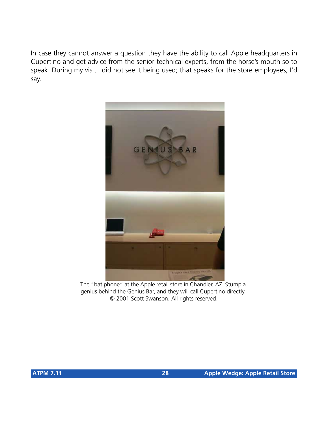In case they cannot answer a question they have the ability to call Apple headquarters in Cupertino and get advice from the senior technical experts, from the horse's mouth so to speak. During my visit I did not see it being used; that speaks for the store employees, I'd say.



The "bat phone" at the Apple retail store in Chandler, AZ. Stump a genius behind the Genius Bar, and they will call Cupertino directly. © 2001 Scott Swanson. All rights reserved.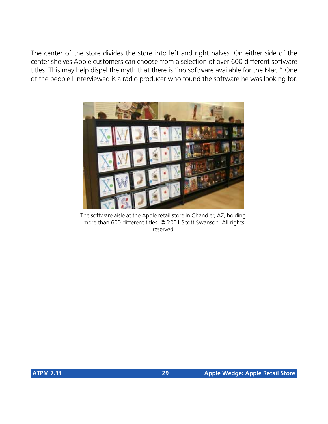The center of the store divides the store into left and right halves. On either side of the center shelves Apple customers can choose from a selection of over 600 different software titles. This may help dispel the myth that there is "no software available for the Mac." One of the people I interviewed is a radio producer who found the software he was looking for.



The software aisle at the Apple retail store in Chandler, AZ, holding more than 600 different titles. © 2001 Scott Swanson. All rights reserved.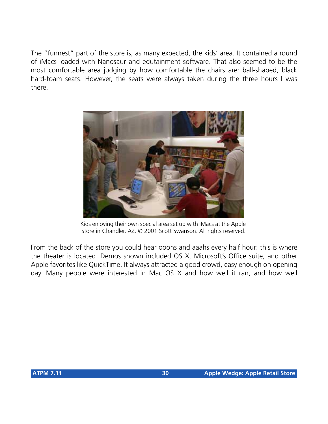The "funnest" part of the store is, as many expected, the kids' area. It contained a round of iMacs loaded with Nanosaur and edutainment software. That also seemed to be the most comfortable area judging by how comfortable the chairs are: ball-shaped, black hard-foam seats. However, the seats were always taken during the three hours I was there.



Kids enjoying their own special area set up with iMacs at the Apple store in Chandler, AZ. © 2001 Scott Swanson. All rights reserved.

From the back of the store you could hear ooohs and aaahs every half hour: this is where the theater is located. Demos shown included OS X, Microsoft's Office suite, and other Apple favorites like QuickTime. It always attracted a good crowd, easy enough on opening day. Many people were interested in Mac OS X and how well it ran, and how well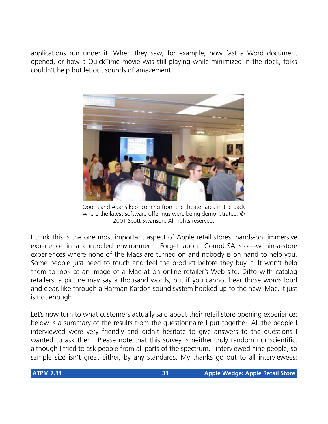applications run under it. When they saw, for example, how fast a Word document opened, or how a QuickTime movie was still playing while minimized in the dock, folks couldn't help but let out sounds of amazement.



Ooohs and Aaahs kept coming from the theater area in the back where the latest software offerings were being demonstrated. © 2001 Scott Swanson. All rights reserved.

I think this is the one most important aspect of Apple retail stores: hands-on, immersive experience in a controlled environment. Forget about CompUSA store-within-a-store experiences where none of the Macs are turned on and nobody is on hand to help you. Some people just need to touch and feel the product before they buy it. It won't help them to look at an image of a Mac at on online retailer's Web site. Ditto with catalog retailers: a picture may say a thousand words, but if you cannot hear those words loud and clear, like through a Harman Kardon sound system hooked up to the new iMac, it just is not enough.

Let's now turn to what customers actually said about their retail store opening experience: below is a summary of the results from the questionnaire I put together. All the people I interviewed were very friendly and didn't hesitate to give answers to the questions I wanted to ask them. Please note that this survey is neither truly random nor scientific, although I tried to ask people from all parts of the spectrum. I interviewed nine people, so sample size isn't great either, by any standards. My thanks go out to all interviewees: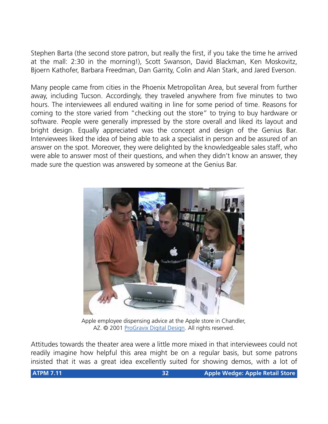Stephen Barta (the second store patron, but really the first, if you take the time he arrived at the mall: 2:30 in the morning!), Scott Swanson, David Blackman, Ken Moskovitz, Bjoern Kathofer, Barbara Freedman, Dan Garrity, Colin and Alan Stark, and Jared Everson.

Many people came from cities in the Phoenix Metropolitan Area, but several from further away, including Tucson. Accordingly, they traveled anywhere from five minutes to two hours. The interviewees all endured waiting in line for some period of time. Reasons for coming to the store varied from "checking out the store" to trying to buy hardware or software. People were generally impressed by the store overall and liked its layout and bright design. Equally appreciated was the concept and design of the Genius Bar. Interviewees liked the idea of being able to ask a specialist in person and be assured of an answer on the spot. Moreover, they were delighted by the knowledgeable sales staff, who were able to answer most of their questions, and when they didn't know an answer, they made sure the question was answered by someone at the Genius Bar.



Apple employee dispensing advice at the Apple store in Chandler, AZ. © 2001 [ProGravix Digital Design.](http://www.progravix.com) All rights reserved.

Attitudes towards the theater area were a little more mixed in that interviewees could not readily imagine how helpful this area might be on a regular basis, but some patrons insisted that it was a great idea excellently suited for showing demos, with a lot of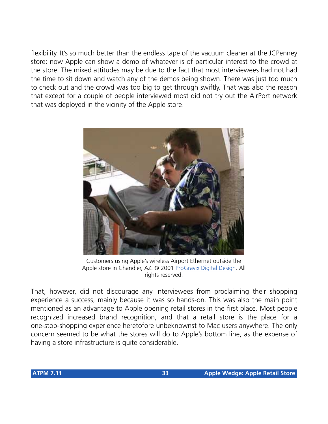flexibility. It's so much better than the endless tape of the vacuum cleaner at the JCPenney store: now Apple can show a demo of whatever is of particular interest to the crowd at the store. The mixed attitudes may be due to the fact that most interviewees had not had the time to sit down and watch any of the demos being shown. There was just too much to check out and the crowd was too big to get through swiftly. That was also the reason that except for a couple of people interviewed most did not try out the AirPort network that was deployed in the vicinity of the Apple store.



Customers using Apple's wireless Airport Ethernet outside the Apple store in Chandler, AZ. © 2001 [ProGravix Digital Design](http://www.progravix.com). All rights reserved.

That, however, did not discourage any interviewees from proclaiming their shopping experience a success, mainly because it was so hands-on. This was also the main point mentioned as an advantage to Apple opening retail stores in the first place. Most people recognized increased brand recognition, and that a retail store is the place for a one-stop-shopping experience heretofore unbeknownst to Mac users anywhere. The only concern seemed to be what the stores will do to Apple's bottom line, as the expense of having a store infrastructure is quite considerable.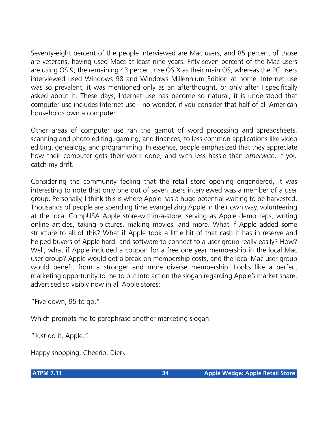Seventy-eight percent of the people interviewed are Mac users, and 85 percent of those are veterans, having used Macs at least nine years. Fifty-seven percent of the Mac users are using OS 9; the remaining 43 percent use OS X as their main OS, whereas the PC users interviewed used Windows 98 and Windows Millennium Edition at home. Internet use was so prevalent, it was mentioned only as an afterthought, or only after I specifically asked about it. These days, Internet use has become so natural, it is understood that computer use includes Internet use—no wonder, if you consider that half of all American households own a computer.

Other areas of computer use ran the gamut of word processing and spreadsheets, scanning and photo editing, gaming, and finances, to less common applications like video editing, genealogy, and programming. In essence, people emphasized that they appreciate how their computer gets their work done, and with less hassle than *otherwise*, if you catch my drift.

Considering the community feeling that the retail store opening engendered, it was interesting to note that only one out of seven users interviewed was a member of a user group. Personally, I think this is where Apple has a huge potential waiting to be harvested. Thousands of people are spending time evangelizing Apple in their own way, volunteering at the local CompUSA Apple store-within-a-store, serving as Apple demo reps, writing online articles, taking pictures, making movies, and more. What if Apple added some structure to all of this? What if Apple took a little bit of that cash it has in reserve and helped buyers of Apple hard- and software to connect to a user group really easily? How? Well, what if Apple included a coupon for a free one year membership in the local Mac user group? Apple would get a break on membership costs, and the local Mac user group would benefit from a stronger and more diverse membership. Looks like a perfect marketing opportunity to me to put into action the slogan regarding Apple's market share, advertised so visibly now in all Apple stores:

"Five down, 95 to go."

Which prompts me to paraphrase another marketing slogan:

"Just do it, Apple."

Happy shopping, Cheerio, Dierk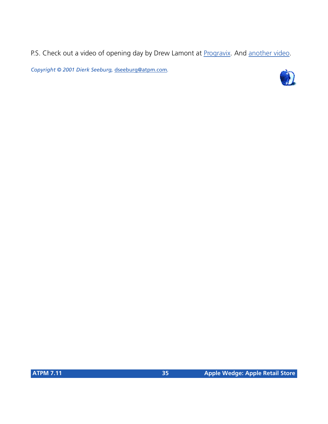P.S. Check out a video of opening day by Drew Lamont at [Progravix](http://www.progravix.com/chandlerapplestore/index.html). And [another video.](ftp://ftp.oxy-Web.com/chandler/ChandlerLarge.mov)

*Copyright © 2001 Dierk Seeburg,* [dseeburg@atpm.com](mailto:dseeburg@atpm.com)*.*

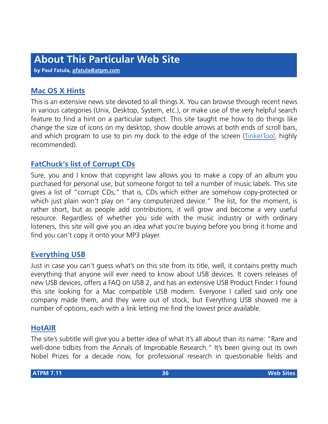**by Paul Fatula, [pfatula@atpm.com](mailto:pfatula@atpm.com)**

# **[Mac OS X Hints](http://www.macoshints.com)**

This is an extensive news site devoted to all things X. You can browse through recent news in various categories (Unix, Desktop, System, etc.), or make use of the very helpful search feature to find a hint on a particular subject. This site taught me how to do things like change the size of icons on my desktop, show double arrows at both ends of scroll bars, and which program to use to pin my dock to the edge of the screen [\(TinkerTool,](http://www.bresink.de/osx/TinkerTool.html) highly recommended).

# **[FatChuck's list of Corrupt CDs](http://www.fatchucks.com/corruptcds/index.html)**

Sure, you and I know that copyright law allows you to make a copy of an album you purchased for personal use, but someone forgot to tell a number of music labels. This site gives a list of "corrupt CDs," that is, CDs which either are somehow copy-protected or which just plain won't play on "any computerized device." The list, for the moment, is rather short, but as people add contributions, it will grow and become a very useful resource. Regardless of whether you side with the music industry or with ordinary listeners, this site will give you an idea what you're buying before you bring it home and find you can't copy it onto your MP3 player.

### **[Everything USB](http://www.everythingusb.com)**

Just in case you can't guess what's on this site from its title, well, it contains pretty much everything that anyone will ever need to know about USB devices. It covers releases of new USB devices, offers a FAQ on USB 2, and has an extensive USB Product Finder. I found this site looking for a Mac compatible USB modem. Everyone I called said only one company made them, and they were out of stock, but Everything USB showed me a number of options, each with a link letting me find the lowest price available.

### **[HotAIR](http://www.improbable.com)**

The site's subtitle will give you a better idea of what it's all about than its name: "Rare and well-done tidbits from the Annals of Improbable Research." It's been giving out its own Nobel Prizes for a decade now, for professional research in questionable fields and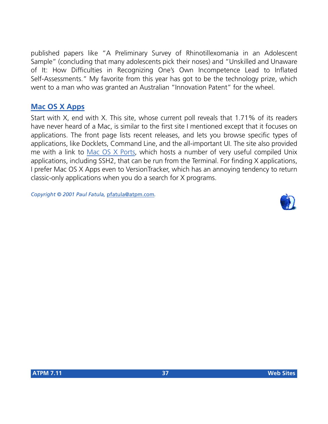published papers like "A Preliminary Survey of Rhinotillexomania in an Adolescent Sample" (concluding that many adolescents pick their noses) and "Unskilled and Unaware of It: How Difficulties in Recognizing One's Own Incompetence Lead to Inflated Self-Assessments." My favorite from this year has got to be the technology prize, which went to a man who was granted an Australian "Innovation Patent" for the wheel.

## **[Mac OS X Apps](http://www.macosxapps.com)**

Start with X, end with X. This site, whose current poll reveals that 1.71% of its readers have never heard of a Mac, is similar to the first site I mentioned except that it focuses on applications. The front page lists recent releases, and lets you browse specific types of applications, like Docklets, Command Line, and the all-important UI. The site also provided me with a link to [Mac OS X Ports,](http://macosx.forked.net) which hosts a number of very useful compiled Unix applications, including SSH2, that can be run from the Terminal. For finding X applications, I prefer Mac OS X Apps even to VersionTracker, which has an annoying tendency to return classic-only applications when you do a search for X programs.

*Copyright © 2001 Paul Fatula,* [pfatula@atpm.com](mailto:pfatula@atpm.com)*.*

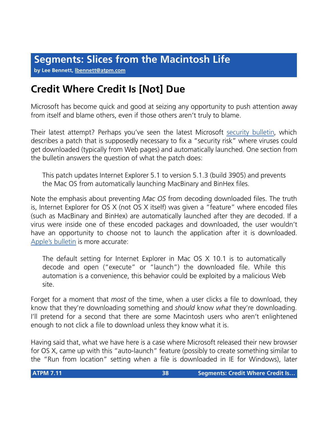**by Lee Bennett, [lbennett@atpm.com](mailto:lbennett@atpm.com)**

# **Credit Where Credit Is [Not] Due**

Microsoft has become quick and good at seizing any opportunity to push attention away from itself and blame others, even if those others aren't truly to blame.

Their latest attempt? Perhaps you've seen the latest Microsoft [security bulletin,](http://www.microsoft.com/technet/security/bulletin/MS01-053.asp) which describes a patch that is supposedly necessary to fix a "security risk" where viruses could get downloaded (typically from Web pages) and automatically launched. One section from the bulletin answers the question of what the patch does:

This patch updates Internet Explorer 5.1 to version 5.1.3 (build 3905) and prevents the Mac OS from automatically launching MacBinary and BinHex files.

Note the emphasis about preventing *Mac OS* from decoding downloaded files. The truth is, Internet Explorer for OS X (not OS X itself) was given a "feature" where encoded files (such as MacBinary and BinHex) are automatically launched after they are decoded. If a virus were inside one of these encoded packages and downloaded, the user wouldn't have an opportunity to choose not to launch the application after it is downloaded. [Apple's bulletin](http://kbase.info.apple.com/cgi-bin/WebObjects/kbase.woa/wa/query?type=id&val=106503) is more accurate:

The default setting for Internet Explorer in Mac OS X 10.1 is to automatically decode and open ("execute" or "launch") the downloaded file. While this automation is a convenience, this behavior could be exploited by a malicious Web site.

Forget for a moment that *most* of the time, when a user clicks a file to download, they know that they're downloading something and *should* know *what* they're downloading. I'll pretend for a second that there are some Macintosh users who aren't enlightened enough to not click a file to download unless they know what it is.

Having said that, what we have here is a case where Microsoft released their new browser for OS X, came up with this "auto-launch" feature (possibly to create something similar to the "Run from location" setting when a file is downloaded in IE for Windows), later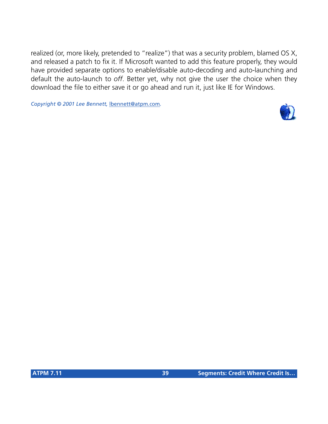realized (or, more likely, pretended to "realize") that was a security problem, blamed OS X, and released a patch to fix it. If Microsoft wanted to add this feature properly, they would have provided separate options to enable/disable auto-decoding and auto-launching and default the auto-launch to *off*. Better yet, why not give the user the choice when they download the file to either save it or go ahead and run it, just like IE for Windows.

*Copyright © 2001 Lee Bennett,* [lbennett@atpm.com](mailto:lbennett@atpm.com)*.*

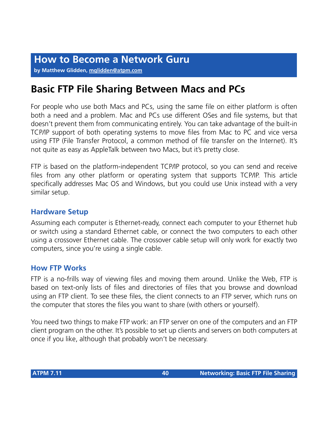**by Matthew Glidden, [mglidden@atpm.com](mailto:mglidden@atpm.com)**

## **Basic FTP File Sharing Between Macs and PCs**

For people who use both Macs and PCs, using the same file on either platform is often both a need and a problem. Mac and PCs use different OSes and file systems, but that doesn't prevent them from communicating entirely. You can take advantage of the built-in TCP/IP support of both operating systems to move files from Mac to PC and vice versa using FTP (File Transfer Protocol, a common method of file transfer on the Internet). It's not quite as easy as AppleTalk between two Macs, but it's pretty close.

FTP is based on the platform-independent TCP/IP protocol, so you can send and receive files from any other platform or operating system that supports TCP/IP. This article specifically addresses Mac OS and Windows, but you could use Unix instead with a very similar setup.

## **Hardware Setup**

Assuming each computer is Ethernet-ready, connect each computer to your Ethernet hub or switch using a standard Ethernet cable, or connect the two computers to each other using a crossover Ethernet cable. The crossover cable setup will only work for exactly two computers, since you're using a single cable.

## **How FTP Works**

FTP is a no-frills way of viewing files and moving them around. Unlike the Web, FTP is based on text-only lists of files and directories of files that you browse and download using an FTP client. To see these files, the client connects to an FTP server, which runs on the computer that stores the files you want to share (with others or yourself).

You need two things to make FTP work: an FTP server on one of the computers and an FTP client program on the other. It's possible to set up clients and servers on both computers at once if you like, although that probably won't be necessary.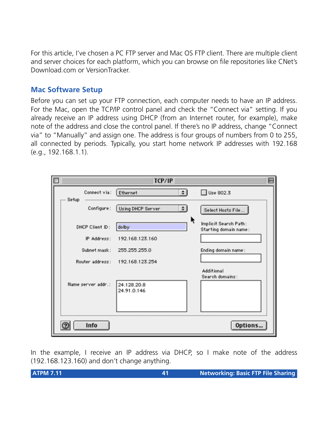For this article, I've chosen a PC FTP server and Mac OS FTP client. There are multiple client and server choices for each platform, which you can browse on file repositories like CNet's Download.com or VersionTracker.

## **Mac Software Setup**

Before you can set up your FTP connection, each computer needs to have an IP address. For the Mac, open the TCP/IP control panel and check the "Connect via" setting. If you already receive an IP address using DHCP (from an Internet router, for example), make note of the address and close the control panel. If there's no IP address, change "Connect via" to "Manually" and assign one. The address is four groups of numbers from 0 to 255, all connected by periods. Typically, you start home network IP addresses with 192.168 (e.g., 192.168.1.1).

| П                     | TCP/IP                             |                                                |
|-----------------------|------------------------------------|------------------------------------------------|
| Connect via:<br>Setup | $\left  \cdot \right $<br>Ethernet | Use 802.3                                      |
| Configure:            | Using DHCP Server<br>$\ddot{z}$    | Select Hosts File                              |
| DHCP Client ID:       | ĸ<br>dolby                         | Implicit Search Path:<br>Starting domain name: |
| IP Address:           | 192.168.123.160                    |                                                |
| Subnet mask:          | 255.255.255.0                      | Ending domain name:                            |
| Router address:       | 192.168.123.254                    |                                                |
| Name server addr.:    | 24.128.20.8<br>24.91.0.146         | Additional<br>Search domains:                  |
| Info                  |                                    | Options                                        |

In the example, I receive an IP address via DHCP, so I make note of the address (192.168.123.160) and don't change anything.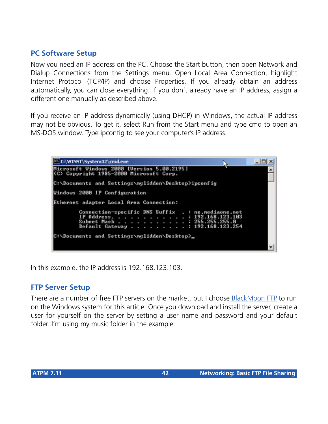## **PC Software Setup**

Now you need an IP address on the PC. Choose the Start button, then open Network and Dialup Connections from the Settings menu. Open Local Area Connection, highlight Internet Protocol (TCP/IP) and choose Properties. If you already obtain an address automatically, you can close everything. If you don't already have an IP address, assign a different one manually as described above.

If you receive an IP address dynamically (using DHCP) in Windows, the actual IP address may not be obvious. To get it, select Run from the Start menu and type cmd to open an MS-DOS window. Type ipconfig to see your computer's IP address.

 $-10x$ C:\WINNT\System32\cmd.exe Microsoft Windows 2000 [Version 5.00.2195]<br>(C) Copyright 1985-2000 Microsoft Corp. C:\Documents and Settings\mglidden\Desktop>ipconfig Windows 2000 IP Configuration Ethernet adapter Local Area Connection: Connection-specific DNS Suffix : ne.mediaone.net IP Address. 192.168.123.103 Subnet Mask 255.255.255.0 н. Default Gateway 192.168.123.254 C:\Documents and Settings\mglidden\Desktop}\_

In this example, the IP address is 192.168.123.103.

#### **FTP Server Setup**

There are a number of free FTP servers on the market, but I choose [BlackMoon FTP](http://members.home.net/blackmoon2K/) to run on the Windows system for this article. Once you download and install the server, create a user for yourself on the server by setting a user name and password and your default folder. I'm using my music folder in the example.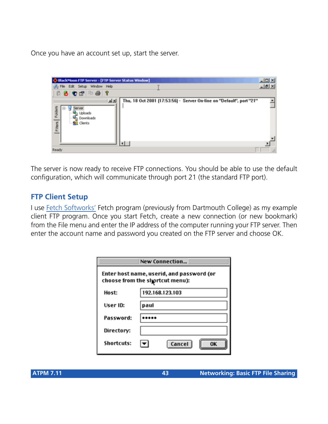Once you have an account set up, start the server.



The server is now ready to receive FTP connections. You should be able to use the default configuration, which will communicate through port 21 (the standard FTP port).

## **FTP Client Setup**

I use [Fetch Softworks'](http://fetchsoftworks.com/) Fetch program (previously from Dartmouth College) as my example client FTP program. Once you start Fetch, create a new connection (or new bookmark) from the File menu and enter the IP address of the computer running your FTP server. Then enter the account name and password you created on the FTP server and choose OK.

| New Connection                                                               |                 |  |  |  |  |  |  |
|------------------------------------------------------------------------------|-----------------|--|--|--|--|--|--|
| Enter host name, userid, and password (or<br>choose from the shortcut menu): |                 |  |  |  |  |  |  |
| Host:                                                                        | 192.168.123.103 |  |  |  |  |  |  |
| User ID:                                                                     | paul            |  |  |  |  |  |  |
| Password:                                                                    |                 |  |  |  |  |  |  |
| Directory:                                                                   |                 |  |  |  |  |  |  |
| Shortcuts:                                                                   | Cancel<br>OK    |  |  |  |  |  |  |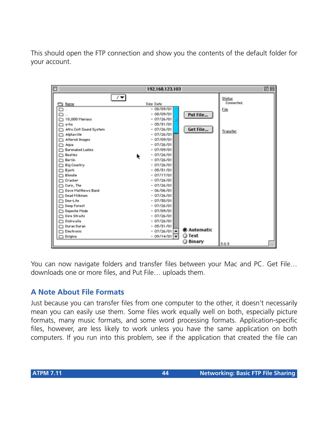This should open the FTP connection and show you the contents of the default folder for your account.



You can now navigate folders and transfer files between your Mac and PC. Get File… downloads one or more files, and Put File… uploads them.

## **A Note About File Formats**

Just because you can transfer files from one computer to the other, it doesn't necessarily mean you can easily use them. Some files work equally well on both, especially picture formats, many music formats, and some word processing formats. Application-specific files, however, are less likely to work unless you have the same application on both computers. If you run into this problem, see if the application that created the file can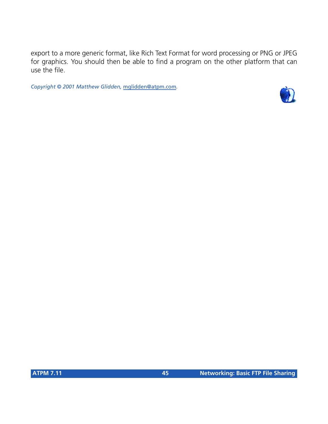export to a more generic format, like Rich Text Format for word processing or PNG or JPEG for graphics. You should then be able to find a program on the other platform that can use the file.

*Copyright © 2001 Matthew Glidden,* [mglidden@atpm.com](mailto:mglidden@atpm.com)*.*

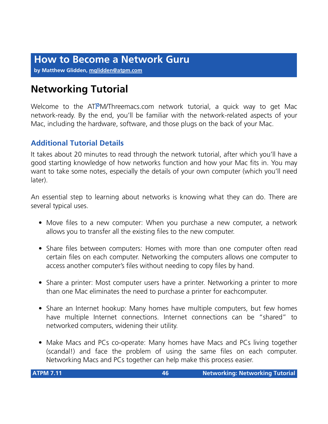**by Matthew Glidden, [mglidden@atpm.com](mailto:mglidden@atpm.com)**

# **Networking Tutorial**

Welcome to the ATPM/Threemacs.com network tutorial, a quick way to get Mac network-ready. By the end, you'll be familiar with the network-related aspects of your Mac, including the hardware, software, and those plugs on the back of your Mac.

## **Additional Tutorial Details**

It takes about 20 minutes to read through the network tutorial, after which you'll have a good starting knowledge of how networks function and how your Mac fits in. You may want to take some notes, especially the details of your own computer (which you'll need later).

An essential step to learning about networks is knowing what they can do. There are several typical uses.

- Move files to a new computer: When you purchase a new computer, a network allows you to transfer all the existing files to the new computer.
- Share files between computers: Homes with more than one computer often read certain files on each computer. Networking the computers allows one computer to access another computer's files without needing to copy files by hand.
- Share a printer: Most computer users have a printer. Networking a printer to more than one Mac eliminates the need to purchase a printer for eachcomputer.
- Share an Internet hookup: Many homes have multiple computers, but few homes have multiple Internet connections. Internet connections can be "shared" to networked computers, widening their utility.
- Make Macs and PCs co-operate: Many homes have Macs and PCs living together (scandal!) and face the problem of using the same files on each computer. Networking Macs and PCs together can help make this process easier.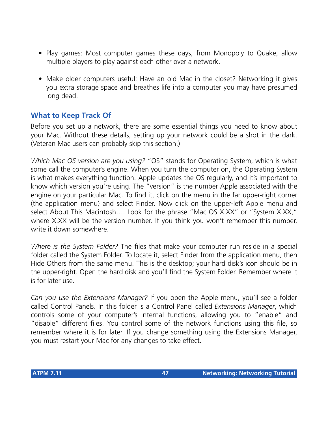- Play games: Most computer games these days, from Monopoly to Quake, allow multiple players to play against each other over a network.
- Make older computers useful: Have an old Mac in the closet? Networking it gives you extra storage space and breathes life into a computer you may have presumed long dead.

## **What to Keep Track Of**

Before you set up a network, there are some essential things you need to know about your Mac. Without these details, setting up your network could be a shot in the dark. (Veteran Mac users can probably skip this section.)

*Which Mac OS version are you using?* "OS" stands for Operating System, which is what some call the computer's engine. When you turn the computer on, the Operating System is what makes everything function. Apple updates the OS regularly, and it's important to know which version you're using. The "version" is the number Apple associated with the engine on your particular Mac. To find it, click on the menu in the far upper-right corner (the application menu) and select Finder. Now click on the upper-left Apple menu and select About This Macintosh.... Look for the phrase "Mac OS X.XX" or "System X.XX," where X.XX will be the version number. If you think you won't remember this number, write it down somewhere

*Where is the System Folder?* The files that make your computer run reside in a special folder called the System Folder. To locate it, select Finder from the application menu, then Hide Others from the same menu. This is the desktop; your hard disk's icon should be in the upper-right. Open the hard disk and you'll find the System Folder. Remember where it is for later use.

*Can you use the Extensions Manager?* If you open the Apple menu, you'll see a folder called Control Panels. In this folder is a Control Panel called *Extensions Manager*, which controls some of your computer's internal functions, allowing you to "enable" and "disable" different files. You control some of the network functions using this file, so remember where it is for later. If you change something using the Extensions Manager, you must restart your Mac for any changes to take effect.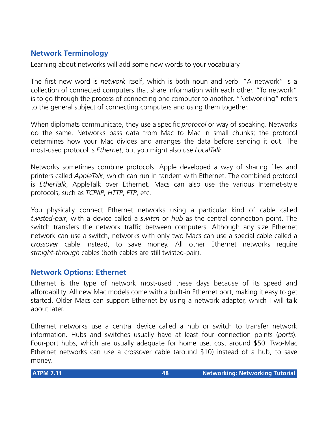## **Network Terminology**

Learning about networks will add some new words to your vocabulary.

The first new word is *network* itself, which is both noun and verb. "A network" is a collection of connected computers that share information with each other. "To network" is to go through the process of connecting one computer to another. "Networking" refers to the general subject of connecting computers and using them together.

When diplomats communicate, they use a specific *protocol* or way of speaking. Networks do the same. Networks pass data from Mac to Mac in small chunks; the protocol determines how your Mac divides and arranges the data before sending it out. The most-used protocol is *Ethernet*, but you might also use *LocalTalk*.

Networks sometimes combine protocols. Apple developed a way of sharing files and printers called *AppleTalk*, which can run in tandem with Ethernet. The combined protocol is *EtherTalk*, AppleTalk over Ethernet. Macs can also use the various Internet-style protocols, such as *TCP/IP*, *HTTP*, *FTP*, etc.

You physically connect Ethernet networks using a particular kind of cable called *twisted-pair*, with a device called a *switch* or *hub* as the central connection point. The switch transfers the network traffic between computers. Although any size Ethernet network can use a switch, networks with only two Macs can use a special cable called a *crossover* cable instead, to save money. All other Ethernet networks require *straight-through* cables (both cables are still twisted-pair).

## **Network Options: Ethernet**

Ethernet is the type of network most-used these days because of its speed and affordability. All new Mac models come with a built-in Ethernet port, making it easy to get started. Older Macs can support Ethernet by using a network adapter, which I will talk about later.

Ethernet networks use a central device called a hub or switch to transfer network information. Hubs and switches usually have at least four connection points (*ports*). Four-port hubs, which are usually adequate for home use, cost around \$50. Two-Mac Ethernet networks can use a crossover cable (around \$10) instead of a hub, to save money.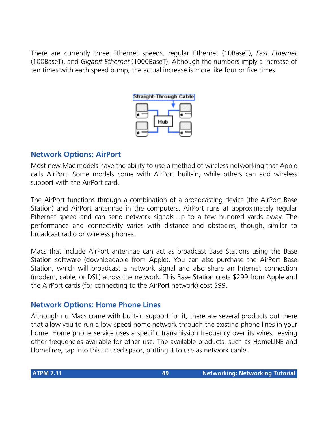There are currently three Ethernet speeds, regular Ethernet (10BaseT), *Fast Ethernet* (100BaseT), and *Gigabit Ethernet* (1000BaseT). Although the numbers imply a increase of ten times with each speed bump, the actual increase is more like four or five times.



## **Network Options: AirPort**

Most new Mac models have the ability to use a method of wireless networking that Apple calls AirPort. Some models come with AirPort built-in, while others can add wireless support with the AirPort card.

The AirPort functions through a combination of a broadcasting device (the AirPort Base Station) and AirPort antennae in the computers. AirPort runs at approximately regular Ethernet speed and can send network signals up to a few hundred yards away. The performance and connectivity varies with distance and obstacles, though, similar to broadcast radio or wireless phones.

Macs that include AirPort antennae can act as broadcast Base Stations using the Base Station software (downloadable from Apple). You can also purchase the AirPort Base Station, which will broadcast a network signal and also share an Internet connection (modem, cable, or DSL) across the network. This Base Station costs \$299 from Apple and the AirPort cards (for connecting to the AirPort network) cost \$99.

## **Network Options: Home Phone Lines**

Although no Macs come with built-in support for it, there are several products out there that allow you to run a low-speed home network through the existing phone lines in your home. Home phone service uses a specific transmission frequency over its wires, leaving other frequencies available for other use. The available products, such as HomeLINE and HomeFree, tap into this unused space, putting it to use as network cable.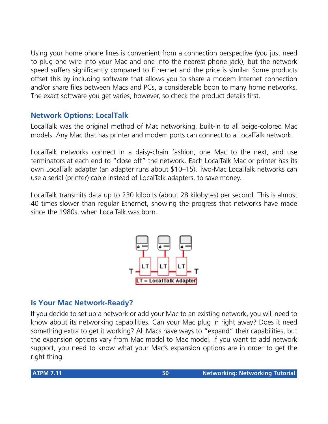Using your home phone lines is convenient from a connection perspective (you just need to plug one wire into your Mac and one into the nearest phone jack), but the network speed suffers significantly compared to Ethernet and the price is similar. Some products offset this by including software that allows you to share a modem Internet connection and/or share files between Macs and PCs, a considerable boon to many home networks. The exact software you get varies, however, so check the product details first.

## **Network Options: LocalTalk**

LocalTalk was the original method of Mac networking, built-in to all beige-colored Mac models. Any Mac that has printer and modem ports can connect to a LocalTalk network.

LocalTalk networks connect in a daisy-chain fashion, one Mac to the next, and use terminators at each end to "close off" the network. Each LocalTalk Mac or printer has its own LocalTalk adapter (an adapter runs about \$10–15). Two-Mac LocalTalk networks can use a serial (printer) cable instead of LocalTalk adapters, to save money.

LocalTalk transmits data up to 230 kilobits (about 28 kilobytes) per second. This is almost 40 times slower than regular Ethernet, showing the progress that networks have made since the 1980s, when LocalTalk was born.



## **Is Your Mac Network-Ready?**

If you decide to set up a network or add your Mac to an existing network, you will need to know about its networking capabilities. Can your Mac plug in right away? Does it need something extra to get it working? All Macs have ways to "expand" their capabilities, but the expansion options vary from Mac model to Mac model. If you want to add network support, you need to know what your Mac's expansion options are in order to get the right thing.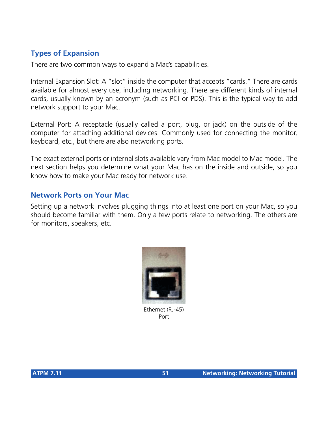## **Types of Expansion**

There are two common ways to expand a Mac's capabilities.

Internal Expansion Slot: A "slot" inside the computer that accepts "cards." There are cards available for almost every use, including networking. There are different kinds of internal cards, usually known by an acronym (such as PCI or PDS). This is the typical way to add network support to your Mac.

External Port: A receptacle (usually called a port, plug, or jack) on the outside of the computer for attaching additional devices. Commonly used for connecting the monitor, keyboard, etc., but there are also networking ports.

The exact external ports or internal slots available vary from Mac model to Mac model. The next section helps you determine what your Mac has on the inside and outside, so you know how to make your Mac ready for network use.

#### **Network Ports on Your Mac**

Setting up a network involves plugging things into at least one port on your Mac, so you should become familiar with them. Only a few ports relate to networking. The others are for monitors, speakers, etc.



Ethernet (RJ-45) Port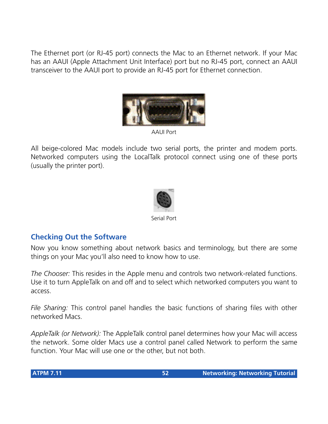The Ethernet port (or RJ-45 port) connects the Mac to an Ethernet network. If your Mac has an AAUI (Apple Attachment Unit Interface) port but no RJ-45 port, connect an AAUI transceiver to the AAUI port to provide an RJ-45 port for Ethernet connection.



AAUI Port

All beige-colored Mac models include two serial ports, the printer and modem ports. Networked computers using the LocalTalk protocol connect using one of these ports (usually the printer port).



Serial Port

## **Checking Out the Software**

Now you know something about network basics and terminology, but there are some things on your Mac you'll also need to know how to use.

*The Chooser:* This resides in the Apple menu and controls two network-related functions. Use it to turn AppleTalk on and off and to select which networked computers you want to access.

*File Sharing:* This control panel handles the basic functions of sharing files with other networked Macs.

*AppleTalk (or Network):* The AppleTalk control panel determines how your Mac will access the network. Some older Macs use a control panel called Network to perform the same function. Your Mac will use one or the other, but not both.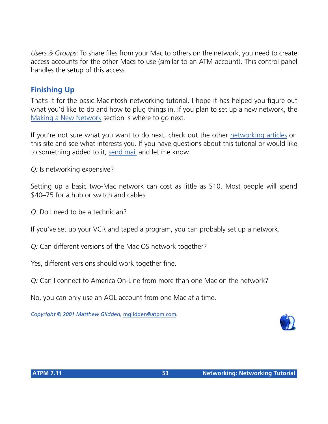*Users & Groups:* To share files from your Mac to others on the network, you need to create access accounts for the other Macs to use (similar to an ATM account). This control panel handles the setup of this access.

## **Finishing Up**

That's it for the basic Macintosh networking tutorial. I hope it has helped you figure out what you'd like to do and how to plug things in. If you plan to set up a new network, the [Making a New Network](http://threemacs.com/network/new_network/index.html) section is where to go next.

If you're not sure what you want to do next, check out the other [networking articles](http://www.atpm.com/Back/networking.shtml) on this site and see what interests you. If you have questions about this tutorial or would like to something added to it, [send mail](mailto:threemacs@threemacs.com) and let me know.

*Q:* Is networking expensive?

Setting up a basic two-Mac network can cost as little as \$10. Most people will spend \$40–75 for a hub or switch and cables.

*Q:* Do I need to be a technician?

If you've set up your VCR and taped a program, you can probably set up a network.

*Q:* Can different versions of the Mac OS network together?

Yes, different versions should work together fine.

*Q:* Can I connect to America On-Line from more than one Mac on the network?

No, you can only use an AOL account from one Mac at a time.

*Copyright © 2001 Matthew Glidden,* [mglidden@atpm.com](mailto:mglidden@atpm.com)*.*

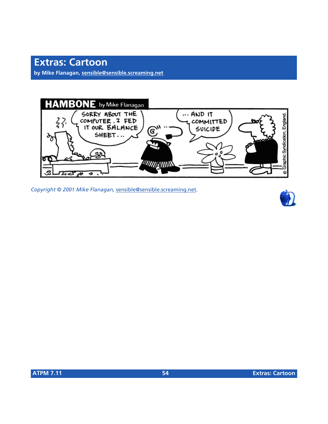**by Mike Flanagan, [sensible@sensible.screaming.net](mailto:sensible@sensible.screaming.net)**



*Copyright © 2001 Mike Flanagan,* [sensible@sensible.screaming.net](mailto:sensible@sensible.screaming.net)*.*

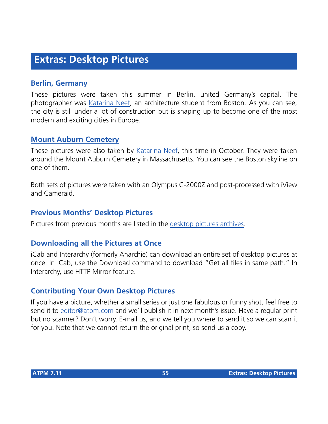## **Extras: Desktop Pictures**

#### **[Berlin, Germany](http://www.atpm.com/7.11/berlin/)**

These pictures were taken this summer in Berlin, united Germany's capital. The photographer was [Katarina Neef,](mailto:katarina@callypso.com) an architecture student from Boston. As you can see, the city is still under a lot of construction but is shaping up to become one of the most modern and exciting cities in Europe.

#### **[Mount Auburn Cemetery](http://www.atpm.com/7.11/mtauburn/)**

These pictures were also taken by [Katarina Neef](mailto:katarina@callypso.com), this time in October. They were taken around the Mount Auburn Cemetery in Massachusetts. You can see the Boston skyline on one of them.

Both sets of pictures were taken with an Olympus C-2000Z and post-processed with iView and Cameraid.

#### **Previous Months' Desktop Pictures**

Pictures from previous months are listed in the [desktop pictures archives](http://www.atpm.com/Back/desktop-pictures.shtml).

#### **Downloading all the Pictures at Once**

iCab and Interarchy (formerly Anarchie) can download an entire set of desktop pictures at once. In iCab, use the Download command to download "Get all files in same path." In Interarchy, use HTTP Mirror feature.

#### **Contributing Your Own Desktop Pictures**

If you have a picture, whether a small series or just one fabulous or funny shot, feel free to send it to [editor@atpm.com](mailto:editor@atpm.com) and we'll publish it in next month's issue. Have a regular print but no scanner? Don't worry. E-mail us, and we tell you where to send it so we can scan it for you. Note that we cannot return the original print, so send us a copy.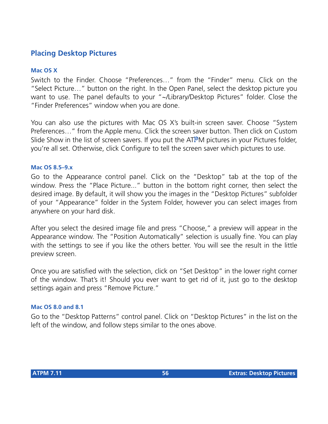## **Placing Desktop Pictures**

#### **Mac OS X**

Switch to the Finder. Choose "Preferences…" from the "Finder" menu. Click on the "Select Picture…" button on the right. In the Open Panel, select the desktop picture you want to use. The panel defaults to your "~/Library/Desktop Pictures" folder. Close the "Finder Preferences" window when you are done.

You can also use the pictures with Mac OS X's built-in screen saver. Choose "System Preferences…" from the Apple menu. Click the screen saver button. Then click on Custom Slide Show in the list of screen savers. If you put the ATPM pictures in your Pictures folder, you're all set. Otherwise, click Configure to tell the screen saver which pictures to use.

#### **Mac OS 8.5–9.x**

Go to the Appearance control panel. Click on the "Desktop" tab at the top of the window. Press the "Place Picture..." button in the bottom right corner, then select the desired image. By default, it will show you the images in the "Desktop Pictures" subfolder of your "Appearance" folder in the System Folder, however you can select images from anywhere on your hard disk.

After you select the desired image file and press "Choose," a preview will appear in the Appearance window. The "Position Automatically" selection is usually fine. You can play with the settings to see if you like the others better. You will see the result in the little preview screen.

Once you are satisfied with the selection, click on "Set Desktop" in the lower right corner of the window. That's it! Should you ever want to get rid of it, just go to the desktop settings again and press "Remove Picture."

#### **Mac OS 8.0 and 8.1**

Go to the "Desktop Patterns" control panel. Click on "Desktop Pictures" in the list on the left of the window, and follow steps similar to the ones above.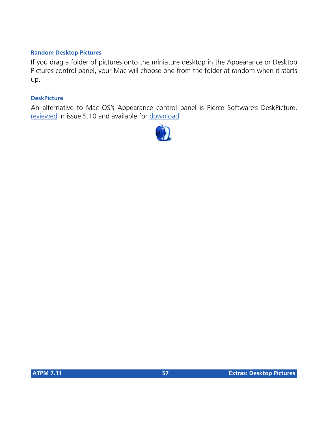#### **Random Desktop Pictures**

If you drag a folder of pictures onto the miniature desktop in the Appearance or Desktop Pictures control panel, your Mac will choose one from the folder at random when it starts up.

#### **DeskPicture**

An alternative to Mac OS's Appearance control panel is Pierce Software's DeskPicture, [reviewed](http://www.atpm.com/5.10/roundup.shtml) in issue 5.10 and available for [download](http://www.peircesw.com/DeskPicture.html).

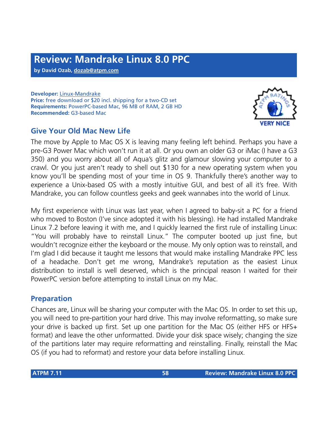**by David Ozab, [dozab@atpm.com](mailto:dozab@atpm.com)**

**Developer:** [Linux-Mandrake](http://www.linux-mandrake.com/) **Price:** free download or \$20 incl. shipping for a two-CD set **Requirements:** PowerPC-based Mac, 96 MB of RAM, 2 GB HD **Recommended:** G3-based Mac

## **Give Your Old Mac New Life**

The move by Apple to Mac OS X is leaving many feeling left behind. Perhaps you have a pre-G3 Power Mac which won't run it at all. Or you own an older G3 or iMac (I have a G3 350) and you worry about all of Aqua's glitz and glamour slowing your computer to a crawl. Or you just aren't ready to shell out \$130 for a new operating system when you know you'll be spending most of your time in OS 9. Thankfully there's another way to experience a Unix-based OS with a mostly intuitive GUI, and best of all it's free. With Mandrake, you can follow countless geeks and geek wannabes into the world of Linux.

My first experience with Linux was last year, when I agreed to baby-sit a PC for a friend who moved to Boston (I've since adopted it with his blessing). He had installed Mandrake Linux 7.2 before leaving it with me, and I quickly learned the first rule of installing Linux: "You will probably have to reinstall Linux." The computer booted up just fine, but wouldn't recognize either the keyboard or the mouse. My only option was to reinstall, and I'm glad I did because it taught me lessons that would make installing Mandrake PPC less of a headache. Don't get me wrong, Mandrake's reputation as the easiest Linux distribution to install is well deserved, which is the principal reason I waited for their PowerPC version before attempting to install Linux on my Mac.

#### **Preparation**

Chances are, Linux will be sharing your computer with the Mac OS. In order to set this up, you will need to pre-partition your hard drive. This may involve reformatting, so make sure your drive is backed up first. Set up one partition for the Mac OS (either HFS or HFS+ format) and leave the other unformatted. Divide your disk space wisely; changing the size of the partitions later may require reformatting and reinstalling. Finally, reinstall the Mac OS (if you had to reformat) and restore your data before installing Linux.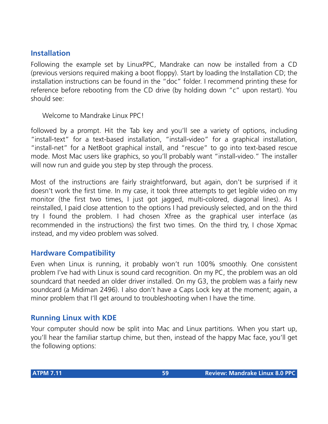## **Installation**

Following the example set by LinuxPPC, Mandrake can now be installed from a CD (previous versions required making a boot floppy). Start by loading the Installation CD; the installation instructions can be found in the "doc" folder. I recommend printing these for reference before rebooting from the CD drive (by holding down "c" upon restart). You should see:

Welcome to Mandrake Linux PPC!

followed by a prompt. Hit the Tab key and you'll see a variety of options, including "install-text" for a text-based installation, "install-video" for a graphical installation, "install-net" for a NetBoot graphical install, and "rescue" to go into text-based rescue mode. Most Mac users like graphics, so you'll probably want "install-video." The installer will now run and guide you step by step through the process.

Most of the instructions are fairly straightforward, but again, don't be surprised if it doesn't work the first time. In my case, it took three attempts to get legible video on my monitor (the first two times, I just got jagged, multi-colored, diagonal lines). As I reinstalled, I paid close attention to the options I had previously selected, and on the third try I found the problem. I had chosen Xfree as the graphical user interface (as recommended in the instructions) the first two times. On the third try, I chose Xpmac instead, and my video problem was solved.

#### **Hardware Compatibility**

Even when Linux is running, it probably won't run 100% smoothly. One consistent problem I've had with Linux is sound card recognition. On my PC, the problem was an old soundcard that needed an older driver installed. On my G3, the problem was a fairly new soundcard (a Midiman 2496). I also don't have a Caps Lock key at the moment; again, a minor problem that I'll get around to troubleshooting when I have the time.

## **Running Linux with KDE**

Your computer should now be split into Mac and Linux partitions. When you start up, you'll hear the familiar startup chime, but then, instead of the happy Mac face, you'll get the following options: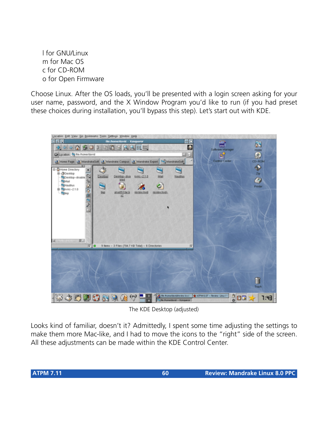l for GNU/Linux m for Mac OS c for CD-ROM o for Open Firmware

Choose Linux. After the OS loads, you'll be presented with a login screen asking for your user name, password, and the X Window Program you'd like to run (if you had preset these choices during installation, you'll bypass this step). Let's start out with KDE.



The KDE Desktop (adjusted)

Looks kind of familiar, doesn't it? Admittedly, I spent some time adjusting the settings to make them more Mac-like, and I had to move the icons to the "right" side of the screen. All these adjustments can be made within the KDE Control Center.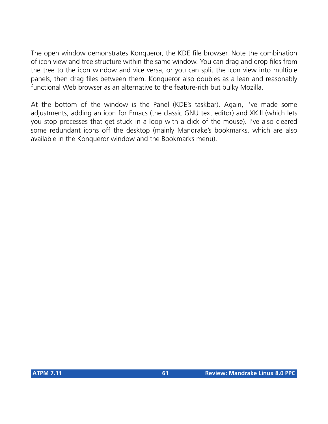The open window demonstrates Konqueror, the KDE file browser. Note the combination of icon view and tree structure within the same window. You can drag and drop files from the tree to the icon window and vice versa, or you can split the icon view into multiple panels, then drag files between them. Konqueror also doubles as a lean and reasonably functional Web browser as an alternative to the feature-rich but bulky Mozilla.

At the bottom of the window is the Panel (KDE's taskbar). Again, I've made some adjustments, adding an icon for Emacs (the classic GNU text editor) and XKill (which lets you stop processes that get stuck in a loop with a click of the mouse). I've also cleared some redundant icons off the desktop (mainly Mandrake's bookmarks, which are also available in the Konqueror window and the Bookmarks menu).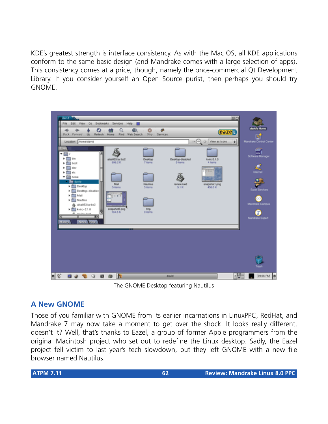KDE's greatest strength is interface consistency. As with the Mac OS, all KDE applications conform to the same basic design (and Mandrake comes with a large selection of apps). This consistency comes at a price, though, namely the once-commercial Qt Development Library. If you consider yourself an Open Source purist, then perhaps you should try GNOME.



The GNOME Desktop featuring Nautilus

## **A New GNOME**

Those of you familiar with GNOME from its earlier incarnations in LinuxPPC, RedHat, and Mandrake 7 may now take a moment to get over the shock. It looks really different, doesn't it? Well, that's thanks to Eazel, a group of former Apple programmers from the original Macintosh project who set out to redefine the Linux desktop. Sadly, the Eazel project fell victim to last year's tech slowdown, but they left GNOME with a new file browser named Nautilus.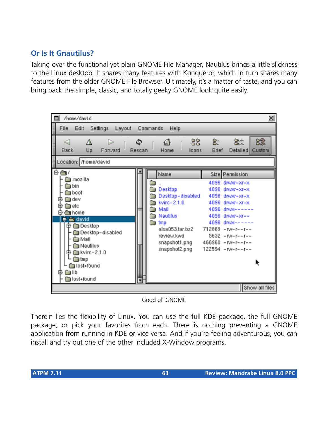## **Or Is It Gnautilus?**

Taking over the functional yet plain GNOME File Manager, Nautilus brings a little slickness to the Linux desktop. It shares many features with Konqueror, which in turn shares many features from the older GNOME File Browser. Ultimately, it's a matter of taste, and you can bring back the simple, classic, and totally geeky GNOME look quite easily.



Good ol' GNOME

Therein lies the flexibility of Linux. You can use the full KDE package, the full GNOME package, or pick your favorites from each. There is nothing preventing a GNOME application from running in KDE or vice versa. And if you're feeling adventurous, you can install and try out one of the other included X-Window programs.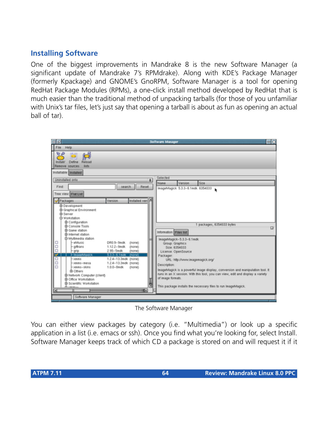## **Installing Software**

One of the biggest improvements in Mandrake 8 is the new Software Manager (a significant update of Mandrake 7's RPMdrake). Along with KDE's Package Manager (formerly Kpackage) and GNOME's GnoRPM, Software Manager is a tool for opening RedHat Package Modules (RPMs), a one-click install method developed by RedHat that is much easier than the traditional method of unpacking tarballs (for those of you unfamiliar with Unix's tar files, let's just say that opening a tarball is about as fun as opening an actual ball of tar).



The Software Manager

You can either view packages by category (i.e. "Multimedia") or look up a specific application in a list (i.e. emacs or ssh). Once you find what you're looking for, select Install. Software Manager keeps track of which CD a package is stored on and will request it if it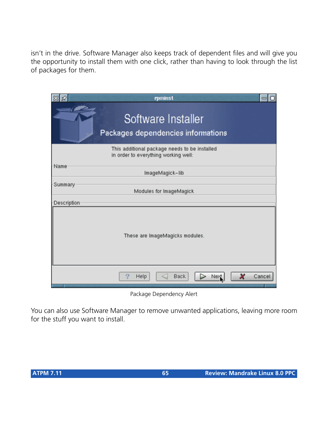isn't in the drive. Software Manager also keeps track of dependent files and will give you the opportunity to install them with one click, rather than having to look through the list of packages for them.

|             | rpminst                                                                               |        |
|-------------|---------------------------------------------------------------------------------------|--------|
|             | Software Installer<br>Packages dependencies informations                              |        |
|             | This additional package needs to be installed<br>in order to everything working well: |        |
| Name        | ImageMagick-lib                                                                       |        |
| Summary     | Modules for ImageMagick                                                               |        |
| Description |                                                                                       |        |
|             | These are ImageMagicks modules.                                                       |        |
|             | Back<br>Help                                                                          | Cancel |

Package Dependency Alert

You can also use Software Manager to remove unwanted applications, leaving more room for the stuff you want to install.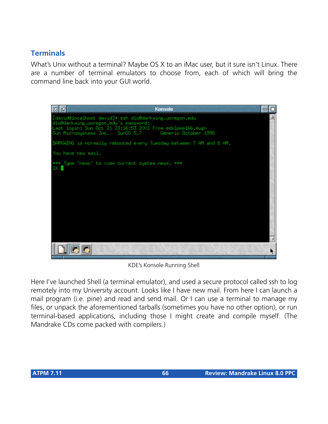## **Terminals**

What's Unix without a terminal? Maybe OS X to an iMac user, but it sure isn't Linux. There are a number of terminal emulators to choose from, each of which will bring the command line back into your GUI world.



KDE's Konsole Running Shell

Here I've launched Shell (a terminal emulator), and used a secure protocol called ssh to log remotely into my University account. Looks like I have new mail. From here I can launch a mail program (i.e. pine) and read and send mail. Or I can use a terminal to manage my files, or unpack the aforementioned tarballs (sometimes you have no other option), or run terminal-based applications, including those I might create and compile myself. (The Mandrake CDs come packed with compilers.)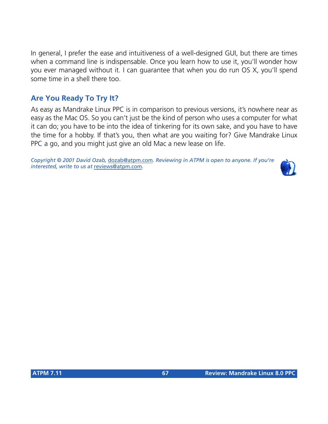In general, I prefer the ease and intuitiveness of a well-designed GUI, but there are times when a command line is indispensable. Once you learn how to use it, you'll wonder how you ever managed without it. I can guarantee that when you do run OS X, you'll spend some time in a shell there too.

## **Are You Ready To Try It?**

As easy as Mandrake Linux PPC is in comparison to previous versions, it's nowhere near as easy as the Mac OS. So you can't just be the kind of person who uses a computer for what it can do; you have to be into the idea of tinkering for its own sake, and you have to have the time for a hobby. If that's you, then what are you waiting for? Give Mandrake Linux PPC a go, and you might just give an old Mac a new lease on life.

*Copyright © 2001 David Ozab,* [dozab@atpm.com](mailto:dozab@atpm.com)*. Reviewing in ATPM is open to anyone. If you're interested, write to us at* [reviews@atpm.com](mailto:reviews@atpm.com)*.*

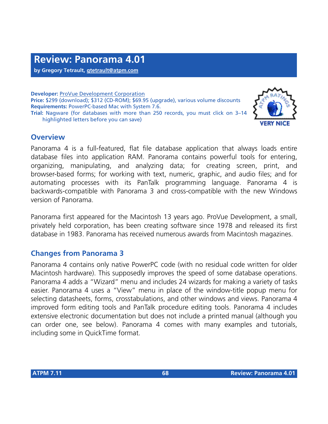**by Gregory Tetrault, [gtetrault@atpm.com](mailto:gtetrault@atpm.com)**

**Developer:** [ProVue Development Corporation](http://www.provue.com) **Price:** \$299 (download); \$312 (CD-ROM); \$69.95 (upgrade), various volume discounts **Requirements:** PowerPC-based Mac with System 7.6. **Trial:** Nagware (for databases with more than 250 records, you must click on 3–14 highlighted letters before you can save)



Panorama 4 is a full-featured, flat file database application that always loads entire database files into application RAM. Panorama contains powerful tools for entering, organizing, manipulating, and analyzing data; for creating screen, print, and browser-based forms; for working with text, numeric, graphic, and audio files; and for automating processes with its PanTalk programming language. Panorama 4 is backwards-compatible with Panorama 3 and cross-compatible with the new Windows version of Panorama.

Panorama first appeared for the Macintosh 13 years ago. ProVue Development, a small, privately held corporation, has been creating software since 1978 and released its first database in 1983. Panorama has received numerous awards from Macintosh magazines.

#### **Changes from Panorama 3**

Panorama 4 contains only native PowerPC code (with no residual code written for older Macintosh hardware). This supposedly improves the speed of some database operations. Panorama 4 adds a "Wizard" menu and includes 24 wizards for making a variety of tasks easier. Panorama 4 uses a "View" menu in place of the window-title popup menu for selecting datasheets, forms, crosstabulations, and other windows and views. Panorama 4 improved form editing tools and PanTalk procedure editing tools. Panorama 4 includes extensive electronic documentation but does not include a printed manual (although you can order one, see below). Panorama 4 comes with many examples and tutorials, including some in QuickTime format.

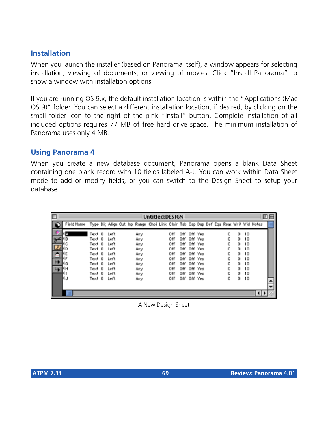## **Installation**

When you launch the installer (based on Panorama itself), a window appears for selecting installation, viewing of documents, or viewing of movies. Click "Install Panorama" to show a window with installation options.

If you are running OS 9.x, the default installation location is within the "Applications (Mac OS 9)" folder. You can select a different installation location, if desired, by clicking on the small folder icon to the right of the pink "Install" button. Complete installation of all included options requires 77 MB of free hard drive space. The minimum installation of Panorama uses only 4 MB.

#### **Using Panorama 4**

When you create a new database document, Panorama opens a blank Data Sheet containing one blank record with 10 fields labeled A-J. You can work within Data Sheet mode to add or modify fields, or you can switch to the Design Sheet to setup your database.

|             |            |        |      |  |                                                                                      |  | Untitled:DESIGN |     |             |  |   |   |    | 凹目 |
|-------------|------------|--------|------|--|--------------------------------------------------------------------------------------|--|-----------------|-----|-------------|--|---|---|----|----|
|             | Field Name |        |      |  | Type Dix Align Out Inp Range Choi Link Clair Tab Cap Dup Def Equ Rear Writ Wid Notes |  |                 |     |             |  |   |   |    |    |
|             | A          | Text O | Left |  | Any                                                                                  |  | Off             | off | Off Yes     |  | 0 | о | 10 |    |
|             | ١B         | Text O | Left |  | Any                                                                                  |  | 0ff             |     | Off Off Yes |  | 0 | 0 | 10 |    |
|             | c          | Text 0 | Left |  | Any                                                                                  |  | 0ff             |     | Off Off Yes |  | 0 | 0 | 10 |    |
|             |            | Text O | Left |  | Any                                                                                  |  | 0ff             |     | Off Off Yes |  | Ũ | Ű | 10 |    |
| $\triangle$ |            | Text O | Left |  | Any                                                                                  |  | Off             | off | Off Yes     |  | 0 | o | 10 |    |
|             |            | Text O | Left |  | Any                                                                                  |  | Off             | off | Off Yes     |  | 0 | о | 10 |    |
| ⊬           | ١G         | Text O | Left |  | Any                                                                                  |  | 0ff             |     | Off Off Yes |  | 0 | 0 | 10 |    |
| ↳           | 1н         | Text O | Left |  | Any                                                                                  |  | 0ff             |     | Off Off Yes |  | 0 | ū | 10 |    |
|             |            | Text O | Left |  | Any                                                                                  |  | 0ff             |     | Off Off Yes |  | Ũ | Ũ | 10 |    |
|             | ١J         | Text O | Left |  | Any                                                                                  |  | Off             |     | Off Off Yes |  | 0 | 0 | 10 |    |
|             |            |        |      |  |                                                                                      |  |                 |     |             |  |   |   |    |    |
|             |            |        |      |  |                                                                                      |  |                 |     |             |  |   |   |    |    |

A New Design Sheet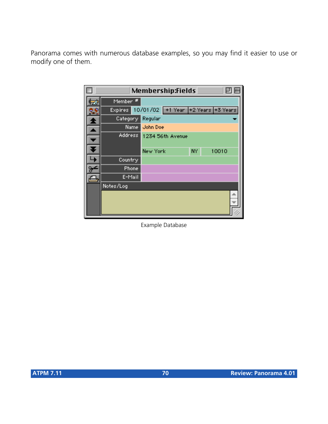Panorama comes with numerous database examples, so you may find it easier to use or modify one of them.

| Membership:Fields<br>ш |        |          |                                            |    |       |  |  |  |  |
|------------------------|--------|----------|--------------------------------------------|----|-------|--|--|--|--|
| Member *               |        |          |                                            |    |       |  |  |  |  |
|                        |        |          | Expires 10/01/02 +1 Year +2 Years +3 Years |    |       |  |  |  |  |
| Category               |        | Regular  |                                            |    |       |  |  |  |  |
|                        | Name i | John Doe |                                            |    |       |  |  |  |  |
|                        |        |          | Address 1234 56th Avenue                   |    |       |  |  |  |  |
|                        |        |          |                                            |    |       |  |  |  |  |
|                        |        | New York |                                            | NΥ | 10010 |  |  |  |  |
| Country                |        |          |                                            |    |       |  |  |  |  |
| Phone                  |        |          |                                            |    |       |  |  |  |  |
| E-Mail                 |        |          |                                            |    |       |  |  |  |  |
| Notes/Log              |        |          |                                            |    |       |  |  |  |  |
|                        |        |          |                                            |    |       |  |  |  |  |
|                        |        |          |                                            |    |       |  |  |  |  |
|                        |        |          |                                            |    |       |  |  |  |  |

Example Database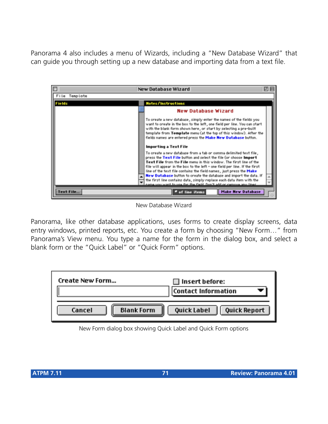Panorama 4 also includes a menu of Wizards, including a "New Database Wizard" that can guide you through setting up a new database and importing data from a text file.

|               | New Database Wizard                                                                                                                                                                                                                                                                                                                                                                                                                                                                                                                                                                                                                                                                                                                                                                                                                                                                                                                                                                                      | 凹目                       |
|---------------|----------------------------------------------------------------------------------------------------------------------------------------------------------------------------------------------------------------------------------------------------------------------------------------------------------------------------------------------------------------------------------------------------------------------------------------------------------------------------------------------------------------------------------------------------------------------------------------------------------------------------------------------------------------------------------------------------------------------------------------------------------------------------------------------------------------------------------------------------------------------------------------------------------------------------------------------------------------------------------------------------------|--------------------------|
| File Template |                                                                                                                                                                                                                                                                                                                                                                                                                                                                                                                                                                                                                                                                                                                                                                                                                                                                                                                                                                                                          |                          |
| Fields        | <b>Notes/Instructions</b>                                                                                                                                                                                                                                                                                                                                                                                                                                                                                                                                                                                                                                                                                                                                                                                                                                                                                                                                                                                |                          |
|               | <b>New Database Wizard</b><br>To create a new database, simply enter the names of the fields you<br>want to create in the box to the left, one field per line. You can start<br>with the blank form shown here, or start by selecting a pre-built<br>template from Template menu (at the top of this window). After the<br>fields names are entered press the Make New Database button.<br>Importing a Text File<br>To create a new database from a tab or comma delimited text file,<br>press the Text File button and select the file (or choose Import<br>Text File from the File menu in this window. The first line of the<br>file will appear in the box to the left – one field per line. If the first<br>line of the text file contains the field names, just press the Make<br>New Database button to create the database and import the data. If<br>the first line contains data, simply replace each data item with the<br>me your want to use for the field. Don't add or removes any lines. |                          |
| Text File     | <b>*</b> of line items                                                                                                                                                                                                                                                                                                                                                                                                                                                                                                                                                                                                                                                                                                                                                                                                                                                                                                                                                                                   | <b>Make New Database</b> |

New Database Wizard

Panorama, like other database applications, uses forms to create display screens, data entry windows, printed reports, etc. You create a form by choosing "New Form…" from Panorama's View menu. You type a name for the form in the dialog box, and select a blank form or the "Quick Label" or "Quick Form" options.



New Form dialog box showing Quick Label and Quick Form options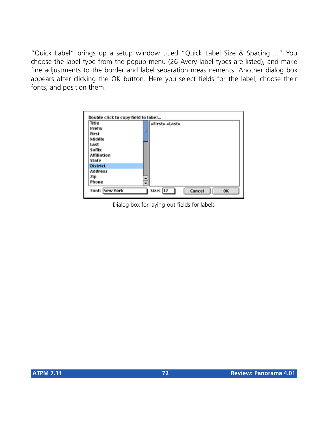"Quick Label" brings up a setup window titled "Quick Label Size & Spacing…." You choose the label type from the popup menu (26 Avery label types are listed), and make fine adjustments to the border and label separation measurements. Another dialog box appears after clicking the OK button. Here you select fields for the label, choose their fonts, and position them.

| Double click to copy field to label |   |                             |
|-------------------------------------|---|-----------------------------|
| Title                               |   | «First» «Last»              |
| Prefix                              |   |                             |
| First                               |   |                             |
| Middle                              |   |                             |
| Last                                |   |                             |
| Suffix                              |   |                             |
| Affiliation                         |   |                             |
| State                               |   |                             |
| <b>District</b>                     |   |                             |
| <b>Address</b>                      |   |                             |
| Zip                                 |   |                             |
| Phone                               | ≑ |                             |
| <b>Font: New York</b>               |   | Size:  12  <br>Cancel<br>OK |

Dialog box for laying-out fields for labels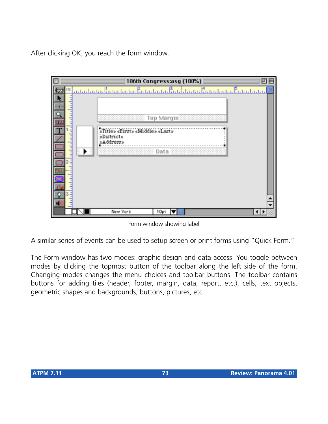After clicking OK, you reach the form window.



Form window showing label

A similar series of events can be used to setup screen or print forms using "Quick Form."

The Form window has two modes: graphic design and data access. You toggle between modes by clicking the topmost button of the toolbar along the left side of the form. Changing modes changes the menu choices and toolbar buttons. The toolbar contains buttons for adding tiles (header, footer, margin, data, report, etc.), cells, text objects, geometric shapes and backgrounds, buttons, pictures, etc.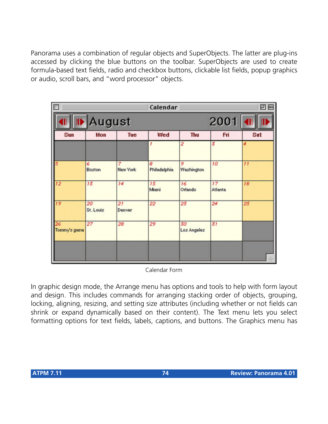Panorama uses a combination of regular objects and SuperObjects. The latter are plug-ins accessed by clicking the blue buttons on the toolbar. SuperObjects are used to create formula-based text fields, radio and checkbox buttons, clickable list fields, popup graphics or audio, scroll bars, and "word processor" objects.

| п                  |                    |                      | Calendar           |                   |                      | 囙   |
|--------------------|--------------------|----------------------|--------------------|-------------------|----------------------|-----|
|                    | August             |                      |                    |                   | 2001                 |     |
| Sun                | Mon                | Tue                  | Wed                | Thu               | Fri                  | Sat |
|                    |                    |                      |                    | 2                 | 3                    |     |
| 5                  | 6<br><b>Boston</b> | 7<br><b>New York</b> | 8<br>Philadelphia. | 9<br>Washington   | 10                   | 11  |
| 12 <sub>2</sub>    | 13                 | 14                   | 15<br>Mami         | 16<br>Orlando     | 17<br><b>Atlanta</b> | 18  |
| 19                 | 20<br>St. Louis    | 21<br>Denver         | 22                 | 23                | 24                   | 25  |
| 26<br>Tommy's game | 27                 | 28                   | 29                 | 30<br>Los Angeles | 31                   |     |
|                    |                    |                      |                    |                   |                      | 4   |

Calendar Form

In graphic design mode, the Arrange menu has options and tools to help with form layout and design. This includes commands for arranging stacking order of objects, grouping, locking, aligning, resizing, and setting size attributes (including whether or not fields can shrink or expand dynamically based on their content). The Text menu lets you select formatting options for text fields, labels, captions, and buttons. The Graphics menu has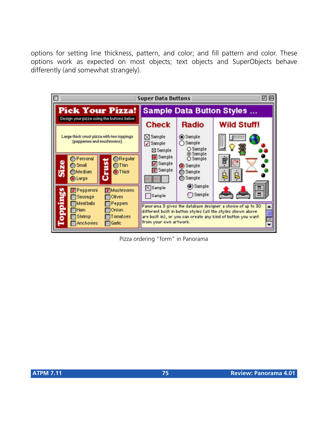options for setting line thickness, pattern, and color; and fill pattern and color. These options work as expected on most objects; text objects and SuperObjects behave differently (and somewhat strangely).

|                                                                                                                                                                                                                                | <b>Super Data Buttons</b>                                                             |                                                                                               | PТ                                                                                                                                                                                               |  |
|--------------------------------------------------------------------------------------------------------------------------------------------------------------------------------------------------------------------------------|---------------------------------------------------------------------------------------|-----------------------------------------------------------------------------------------------|--------------------------------------------------------------------------------------------------------------------------------------------------------------------------------------------------|--|
| <b>Pick Your Pizza!</b>                                                                                                                                                                                                        | <b>Sample Data Button Styles </b>                                                     |                                                                                               |                                                                                                                                                                                                  |  |
| Design your pizza using the buttons below<br>Large thick crust pizza with two toppings<br>(pepperoni and mushrooms).<br><b>O</b> Personal<br>Regular<br>Size<br>Small<br>$O$ Thin<br><b>OMedium</b><br>Thick<br><b>O</b> Large | <b>Check</b><br>⊠ Sample<br>Sample<br>⊠ Sample<br>Sample<br>Sample<br><b>X</b> Sample | Radio<br>Sample<br>◯ Sample<br>O Sample<br>⊙ Sample<br>O Sample<br>Sample<br>Sample<br>Sample | <b>Wild Stuff!</b>                                                                                                                                                                               |  |
| <b>X</b> Mushrooms<br>Pepperoni<br>ping<br><b>Dives</b><br>Sausage<br>Mest balls<br>$\Box$ Peppers<br>$\Box$ Onion<br>$\Box$ Ham<br>Б<br>ā<br>$\Box$ Shrimp<br><b>T</b> omatoes<br>Anchovies<br>Gerlic                         | Sample<br>Sample<br>from your own artwork.                                            | (b) Sample<br>$\bigcirc$ Sample                                                               | Panorama 3 gives the database designer a choice of up to 30<br>▲<br>different built in button styles (all the styles shown above<br>are built in), or you can create any kind of button you want |  |

Pizza ordering "form" in Panorama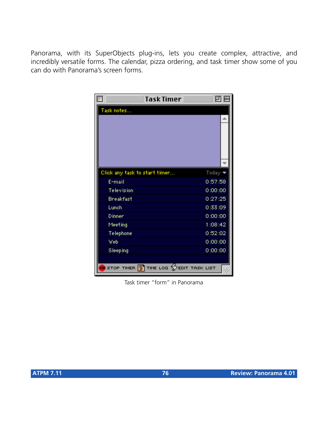Panorama, with its SuperObjects plug-ins, lets you create complex, attractive, and incredibly versatile forms. The calendar, pizza ordering, and task timer show some of you can do with Panorama's screen forms.

| Task Timer                                            | 回旧                         |
|-------------------------------------------------------|----------------------------|
| Task notes                                            |                            |
| Click any task to start timer                         | Today $\blacktriangledown$ |
| E-mail                                                | 0:57:58                    |
| Television                                            | 0:00:00                    |
| Breakfast                                             | 0:27:25                    |
| Lunch                                                 | 0:33:09                    |
| Dinner                                                | 0:00:00                    |
| Meeting                                               | 1:08:42                    |
| Telephone                                             | 0:52:02                    |
| Web                                                   | 0:00:00                    |
| Sleeping                                              | 0:00:00                    |
| <b>OU</b> STOP TIMER <b>T</b> he LOG STEDIT TASK LIST |                            |

Task timer "form" in Panorama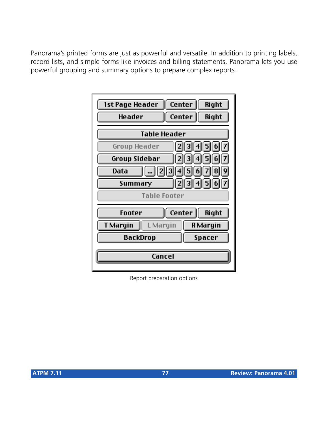Panorama's printed forms are just as powerful and versatile. In addition to printing labels, record lists, and simple forms like invoices and billing statements, Panorama lets you use powerful grouping and summary options to prepare complex reports.

| 1st Page Header      | Center<br>Right  |  |  |  |
|----------------------|------------------|--|--|--|
| Header               | Center<br>Right  |  |  |  |
| <b>Table Header</b>  |                  |  |  |  |
| Group Header         | 234567           |  |  |  |
| Group Sidebar        | 2  3  4  5  6  7 |  |  |  |
| Data                 | 123456789        |  |  |  |
| Summary              | 1234567          |  |  |  |
| <b>Table Footer</b>  |                  |  |  |  |
| Footer               | Center<br>Right  |  |  |  |
| T Margin<br>L Margin | <b>R</b> Margin  |  |  |  |
| BackDrop             | Spacer           |  |  |  |
| Cancel               |                  |  |  |  |

Report preparation options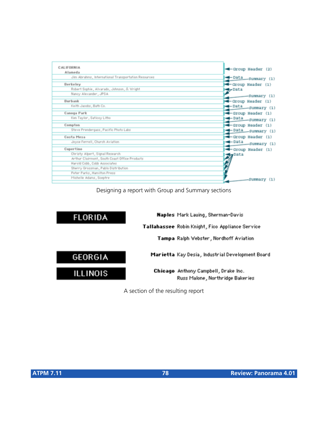| <b>CALIFORNIA</b><br>Alameda                        | -Group Header (2)                   |
|-----------------------------------------------------|-------------------------------------|
| Jim Abrahms, International Transportation Resources | -Data Summary (1)                   |
| Berkeley                                            | - Group Header (1)                  |
| Robert Sophie, Alvarado, Johnson, S. Viright        | d Data                              |
| Nancy Alexander, JPSA                               | -Summary (1)                        |
| Burbank                                             | - Group Header (1)                  |
| Keith Jacobs, Bath Co.                              | <del>⊲</del> — Data<br>-Surmary (1) |
| Canoga Park                                         | -Group Header (1)                   |
| Ken Taylor, Saticoy Litho                           | $-$ Data<br>-Surmary (1)            |
| Compton                                             | -Group Header (1)                   |
| Steve Prendergass, Pacific Photo Labs               | -Data Summary (1)                   |
| Costa Mesa                                          | -Group Header (1)                   |
| Joyce Ferrell, Church Aviation                      | <del>⊲</del> — Data<br>-Summary (1) |
| Cupertino                                           | -Group Header (1)                   |
| Christy Alpert, Signal Research                     | <b>Cy</b> Data                      |
| Arthur Clairmont, South Coast Office Products       |                                     |
| Harold Cobb, Cobb Associates                        |                                     |
| Sherry Grossman, Pablo Distribution                 |                                     |
| Peter Parks, Hamilton Press                         |                                     |
| Michelle Adams, Sceptre                             | -Summary<br>(1)                     |

Designing a report with Group and Summary sections



A section of the resulting report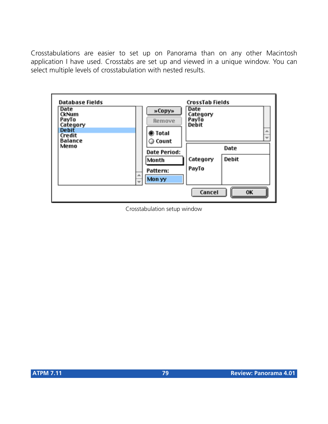Crosstabulations are easier to set up on Panorama than on any other Macintosh application I have used. Crosstabs are set up and viewed in a unique window. You can select multiple levels of crosstabulation with nested results.



Crosstabulation setup window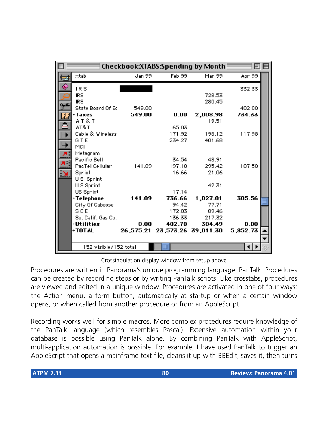|                                  |        |                  | Checkbook:XTABS:Spending by Month |          |  |
|----------------------------------|--------|------------------|-----------------------------------|----------|--|
| $\times$ tab                     | Jan 99 | Feb 99           | Mar 99                            | Apr 99   |  |
| IRS                              |        |                  |                                   | 332.33   |  |
| <b>IRS</b>                       |        |                  | 728.53                            |          |  |
| <b>IRS</b><br>State Board Of Ec  | 549.00 |                  | 280.45                            | 402.00   |  |
| +Taxes                           | 549.00 | 0.00             | 2,008.98                          | 734.33   |  |
| AT&T<br>AT&T                     |        |                  | 19.51                             |          |  |
| Cable & Wireless                 |        | 65.03<br>171.92  | 198.12                            | 117.98   |  |
| G T E                            |        | 234.27           | 401.68                            |          |  |
| MCI<br>Metagram                  |        |                  |                                   |          |  |
| Pacific Bell                     |        | 34.54            | 48.91                             |          |  |
| PacTel Cellular<br>Sprint        | 141.09 | 197.10<br>16.66  | 295.42<br>21.06                   | 187.58   |  |
| US Sprint                        |        |                  |                                   |          |  |
| US Sprint                        |        |                  | 42.31                             |          |  |
| US Sprint<br>+Telephone          | 141.09 | 17.14<br>736.66  | 1,027.01                          | 305.56   |  |
| City Of Caboose                  |        | 94.42            | 77.71                             |          |  |
| S C E                            |        | 172.03           | 89.46                             |          |  |
| So. Calif. Gas Co.<br>∗Utilities | 0.00   | 136.33<br>402.78 | 217.32<br>384.49                  | 0.00     |  |
| +TOTAL                           |        |                  | 26,575.21 23,573.26 39,011.30     | 5,852.73 |  |
|                                  |        |                  |                                   |          |  |
| 152 visible/152 total            |        | Ш                |                                   |          |  |

Crosstabulation display window from setup above

Procedures are written in Panorama's unique programming language, PanTalk. Procedures can be created by recording steps or by writing PanTalk scripts. Like crosstabs, procedures are viewed and edited in a unique window. Procedures are activated in one of four ways: the Action menu, a form button, automatically at startup or when a certain window opens, or when called from another procedure or from an AppleScript.

Recording works well for simple macros. More complex procedures require knowledge of the PanTalk language (which resembles Pascal). Extensive automation within your database is possible using PanTalk alone. By combining PanTalk with AppleScript, multi-application automation is possible. For example, I have used PanTalk to trigger an AppleScript that opens a mainframe text file, cleans it up with BBEdit, saves it, then turns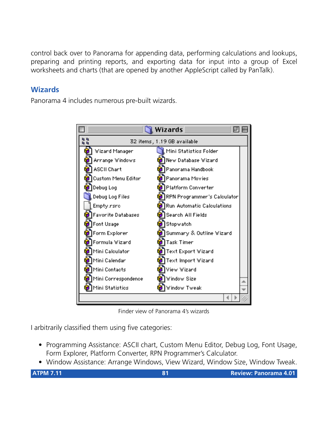control back over to Panorama for appending data, performing calculations and lookups, preparing and printing reports, and exporting data for input into a group of Excel worksheets and charts (that are opened by another AppleScript called by PanTalk).

# **Wizards**

Panorama 4 includes numerous pre-built wizards.



Finder view of Panorama 4's wizards

I arbitrarily classified them using five categories:

- Programming Assistance: ASCII chart, Custom Menu Editor, Debug Log, Font Usage, Form Explorer, Platform Converter, RPN Programmer's Calculator.
- Window Assistance: Arrange Windows, View Wizard, Window Size, Window Tweak.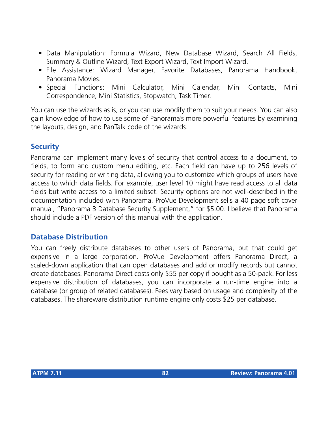- Data Manipulation: Formula Wizard, New Database Wizard, Search All Fields, Summary & Outline Wizard, Text Export Wizard, Text Import Wizard.
- File Assistance: Wizard Manager, Favorite Databases, Panorama Handbook, Panorama Movies.
- Special Functions: Mini Calculator, Mini Calendar, Mini Contacts, Mini Correspondence, Mini Statistics, Stopwatch, Task Timer.

You can use the wizards as is, or you can use modify them to suit your needs. You can also gain knowledge of how to use some of Panorama's more powerful features by examining the layouts, design, and PanTalk code of the wizards.

## **Security**

Panorama can implement many levels of security that control access to a document, to fields, to form and custom menu editing, etc. Each field can have up to 256 levels of security for reading or writing data, allowing you to customize which groups of users have access to which data fields. For example, user level 10 might have read access to all data fields but write access to a limited subset. Security options are not well-described in the documentation included with Panorama. ProVue Development sells a 40 page soft cover manual, "Panorama 3 Database Security Supplement," for \$5.00. I believe that Panorama should include a PDF version of this manual with the application.

#### **Database Distribution**

You can freely distribute databases to other users of Panorama, but that could get expensive in a large corporation. ProVue Development offers Panorama Direct, a scaled-down application that can open databases and add or modify records but cannot create databases. Panorama Direct costs only \$55 per copy if bought as a 50-pack. For less expensive distribution of databases, you can incorporate a run-time engine into a database (or group of related databases). Fees vary based on usage and complexity of the databases. The shareware distribution runtime engine only costs \$25 per database.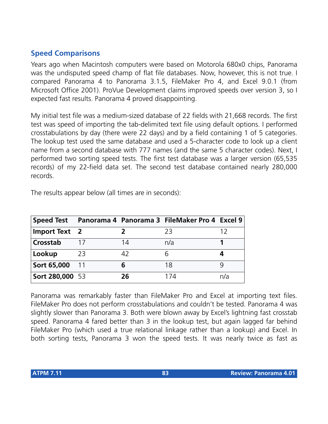# **Speed Comparisons**

Years ago when Macintosh computers were based on Motorola 680x0 chips, Panorama was the undisputed speed champ of flat file databases. Now, however, this is not true. I compared Panorama 4 to Panorama 3.1.5, FileMaker Pro 4, and Excel 9.0.1 (from Microsoft Office 2001). ProVue Development claims improved speeds over version 3, so I expected fast results. Panorama 4 proved disappointing.

My initial test file was a medium-sized database of 22 fields with 21,668 records. The first test was speed of importing the tab-delimited text file using default options. I performed crosstabulations by day (there were 22 days) and by a field containing 1 of 5 categories. The lookup test used the same database and used a 5-character code to look up a client name from a second database with 777 names (and the same 5 character codes). Next, I performed two sorting speed tests. The first test database was a larger version (65,535 records) of my 22-field data set. The second test database contained nearly 280,000 records.

| <b>Speed Test</b>    |    |    | Panorama 4 Panorama 3 FileMaker Pro 4 Excel 9 |     |
|----------------------|----|----|-----------------------------------------------|-----|
| <b>Import Text</b> 2 |    |    | 23                                            |     |
| Crosstab             |    | 14 | n/a                                           |     |
| Lookup               | 23 | 17 |                                               |     |
| Sort 65,000          |    |    | 18                                            |     |
| Sort 280,000 53      |    | 26 | 174                                           | n/a |

The results appear below (all times are in seconds):

Panorama was remarkably faster than FileMaker Pro and Excel at importing text files. FileMaker Pro does not perform crosstabulations and couldn't be tested. Panorama 4 was slightly slower than Panorama 3. Both were blown away by Excel's lightning fast crosstab speed. Panorama 4 fared better than 3 in the lookup test, but again lagged far behind FileMaker Pro (which used a true relational linkage rather than a lookup) and Excel. In both sorting tests, Panorama 3 won the speed tests. It was nearly twice as fast as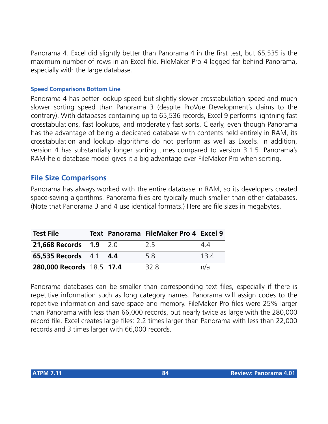Panorama 4. Excel did slightly better than Panorama 4 in the first test, but 65,535 is the maximum number of rows in an Excel file. FileMaker Pro 4 lagged far behind Panorama, especially with the large database.

#### **Speed Comparisons Bottom Line**

Panorama 4 has better lookup speed but slightly slower crosstabulation speed and much slower sorting speed than Panorama 3 (despite ProVue Development's claims to the contrary). With databases containing up to 65,536 records, Excel 9 performs lightning fast crosstabulations, fast lookups, and moderately fast sorts. Clearly, even though Panorama has the advantage of being a dedicated database with contents held entirely in RAM, its crosstabulation and lookup algorithms do not perform as well as Excel's. In addition, version 4 has substantially longer sorting times compared to version 3.1.5. Panorama's RAM-held database model gives it a big advantage over FileMaker Pro when sorting.

#### **File Size Comparisons**

Panorama has always worked with the entire database in RAM, so its developers created space-saving algorithms. Panorama files are typically much smaller than other databases. (Note that Panorama 3 and 4 use identical formats.) Here are file sizes in megabytes.

| Test File                            |  | Text Panorama FileMaker Pro 4 Excel 9 |     |
|--------------------------------------|--|---------------------------------------|-----|
| <b>21,668 Records 1.9 2.0</b>        |  | 25                                    | 44  |
| <b>65,535 Records</b> 4.1 <b>4.4</b> |  | 58                                    | 134 |
| 280,000 Records 18.5 17.4            |  | 32 R                                  | n/a |

Panorama databases can be smaller than corresponding text files, especially if there is repetitive information such as long category names. Panorama will assign codes to the repetitive information and save space and memory. FileMaker Pro files were 25% larger than Panorama with less than 66,000 records, but nearly twice as large with the 280,000 record file. Excel creates large files: 2.2 times larger than Panorama with less than 22,000 records and 3 times larger with 66,000 records.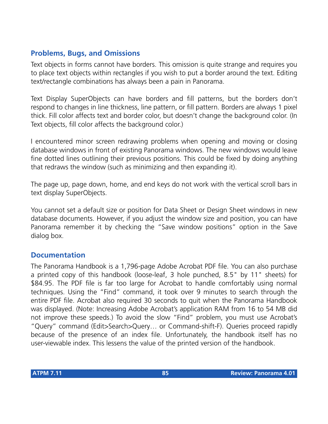## **Problems, Bugs, and Omissions**

Text objects in forms cannot have borders. This omission is quite strange and requires you to place text objects within rectangles if you wish to put a border around the text. Editing text/rectangle combinations has always been a pain in Panorama.

Text Display SuperObjects can have borders and fill patterns, but the borders don't respond to changes in line thickness, line pattern, or fill pattern. Borders are always 1 pixel thick. Fill color affects text and border color, but doesn't change the background color. (In Text objects, fill color affects the background color.)

I encountered minor screen redrawing problems when opening and moving or closing database windows in front of existing Panorama windows. The new windows would leave fine dotted lines outlining their previous positions. This could be fixed by doing anything that redraws the window (such as minimizing and then expanding it).

The page up, page down, home, and end keys do not work with the vertical scroll bars in text display SuperObjects.

You cannot set a default size or position for Data Sheet or Design Sheet windows in new database documents. However, if you adjust the window size and position, you can have Panorama remember it by checking the "Save window positions" option in the Save dialog box.

#### **Documentation**

The Panorama Handbook is a 1,796-page Adobe Acrobat PDF file. You can also purchase a printed copy of this handbook (loose-leaf, 3 hole punched, 8.5" by 11" sheets) for \$84.95. The PDF file is far too large for Acrobat to handle comfortably using normal techniques. Using the "Find" command, it took over 9 minutes to search through the entire PDF file. Acrobat also required 30 seconds to quit when the Panorama Handbook was displayed. (Note: Increasing Adobe Acrobat's application RAM from 16 to 54 MB did not improve these speeds.) To avoid the slow "Find" problem, you must use Acrobat's "Query" command (Edit>Search>Query… or Command-shift-F). Queries proceed rapidly because of the presence of an index file. Unfortunately, the handbook itself has no user-viewable index. This lessens the value of the printed version of the handbook.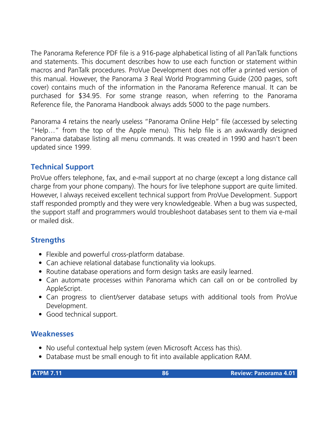The Panorama Reference PDF file is a 916-page alphabetical listing of all PanTalk functions and statements. This document describes how to use each function or statement within macros and PanTalk procedures. ProVue Development does not offer a printed version of this manual. However, the Panorama 3 Real World Programming Guide (200 pages, soft cover) contains much of the information in the Panorama Reference manual. It can be purchased for \$34.95. For some strange reason, when referring to the Panorama Reference file, the Panorama Handbook always adds 5000 to the page numbers.

Panorama 4 retains the nearly useless "Panorama Online Help" file (accessed by selecting "Help…" from the top of the Apple menu). This help file is an awkwardly designed Panorama database listing all menu commands. It was created in 1990 and hasn't been updated since 1999.

# **Technical Support**

ProVue offers telephone, fax, and e-mail support at no charge (except a long distance call charge from your phone company). The hours for live telephone support are quite limited. However, I always received excellent technical support from ProVue Development. Support staff responded promptly and they were very knowledgeable. When a bug was suspected, the support staff and programmers would troubleshoot databases sent to them via e-mail or mailed disk.

## **Strengths**

- Flexible and powerful cross-platform database.
- Can achieve relational database functionality via lookups.
- Routine database operations and form design tasks are easily learned.
- Can automate processes within Panorama which can call on or be controlled by AppleScript.
- Can progress to client/server database setups with additional tools from ProVue Development.
- Good technical support.

# **Weaknesses**

- No useful contextual help system (even Microsoft Access has this).
- Database must be small enough to fit into available application RAM.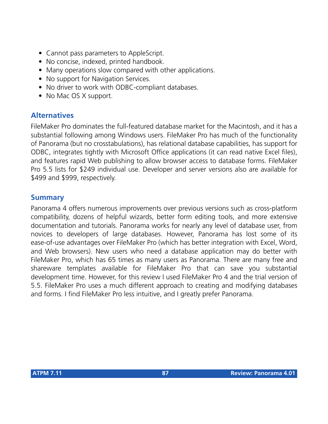- Cannot pass parameters to AppleScript.
- No concise, indexed, printed handbook.
- Many operations slow compared with other applications.
- No support for Navigation Services.
- No driver to work with ODBC-compliant databases.
- No Mac OS X support.

## **Alternatives**

FileMaker Pro dominates the full-featured database market for the Macintosh, and it has a substantial following among Windows users. FileMaker Pro has much of the functionality of Panorama (but no crosstabulations), has relational database capabilities, has support for ODBC, integrates tightly with Microsoft Office applications (it can read native Excel files), and features rapid Web publishing to allow browser access to database forms. FileMaker Pro 5.5 lists for \$249 individual use. Developer and server versions also are available for \$499 and \$999, respectively.

## **Summary**

Panorama 4 offers numerous improvements over previous versions such as cross-platform compatibility, dozens of helpful wizards, better form editing tools, and more extensive documentation and tutorials. Panorama works for nearly any level of database user, from novices to developers of large databases. However, Panorama has lost some of its ease-of-use advantages over FileMaker Pro (which has better integration with Excel, Word, and Web browsers). New users who need a database application may do better with FileMaker Pro, which has 65 times as many users as Panorama. There are many free and shareware templates available for FileMaker Pro that can save you substantial development time. However, for this review I used FileMaker Pro 4 and the trial version of 5.5. FileMaker Pro uses a much different approach to creating and modifying databases and forms. I find FileMaker Pro less intuitive, and I greatly prefer Panorama.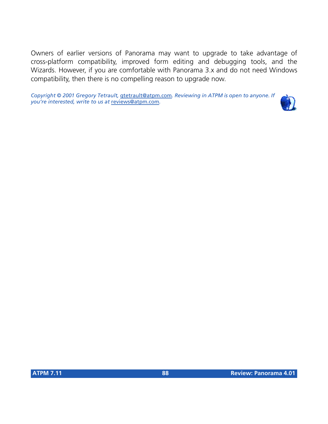Owners of earlier versions of Panorama may want to upgrade to take advantage of cross-platform compatibility, improved form editing and debugging tools, and the Wizards. However, if you are comfortable with Panorama 3.x and do not need Windows compatibility, then there is no compelling reason to upgrade now.

*Copyright © 2001 Gregory Tetrault,* [gtetrault@atpm.com](mailto:gtetrault@atpm.com)*. Reviewing in ATPM is open to anyone. If you're interested, write to us at* [reviews@atpm.com](mailto:reviews@atpm.com)*.*

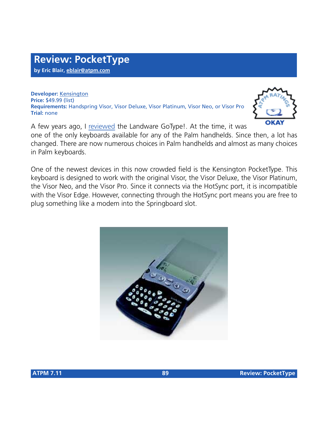**Developer:** [Kensington](http://www.kensington.com/products/pro_mob_d1439.html) **Price:** \$49.99 (list) **Requirements:** Handspring Visor, Visor Deluxe, Visor Platinum, Visor Neo, or Visor Pro **Trial:** none



A few years ago, I [reviewed](http://www.atpm.com/5.04/gotype.shtml) the Landware GoType!. At the time, it was one of the only keyboards available for any of the Palm handhelds. Since then, a lot has changed. There are now numerous choices in Palm handhelds and almost as many choices in Palm keyboards.

One of the newest devices in this now crowded field is the Kensington PocketType. This keyboard is designed to work with the original Visor, the Visor Deluxe, the Visor Platinum, the Visor Neo, and the Visor Pro. Since it connects via the HotSync port, it is incompatible with the Visor Edge. However, connecting through the HotSync port means you are free to plug something like a modem into the Springboard slot.

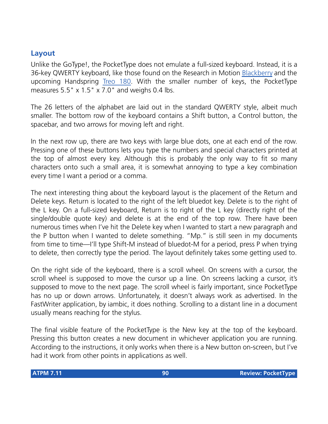## **Layout**

Unlike the GoType!, the PocketType does not emulate a full-sized keyboard. Instead, it is a 36-key QWERTY keyboard, like those found on the Research in Motion [Blackberry](http://www.blackberry.net/) and the upcoming Handspring [Treo 180](http://www.handspring.com/products/treo/index.jhtml?prod_cat_name=Treo&sub_nav_section=Overview). With the smaller number of keys, the PocketType measures 5.5" x 1.5" x 7.0" and weighs 0.4 lbs.

The 26 letters of the alphabet are laid out in the standard QWERTY style, albeit much smaller. The bottom row of the keyboard contains a Shift button, a Control button, the spacebar, and two arrows for moving left and right.

In the next row up, there are two keys with large blue dots, one at each end of the row. Pressing one of these buttons lets you type the numbers and special characters printed at the top of almost every key. Although this is probably the only way to fit so many characters onto such a small area, it is somewhat annoying to type a key combination every time I want a period or a comma.

The next interesting thing about the keyboard layout is the placement of the Return and Delete keys. Return is located to the right of the left bluedot key. Delete is to the right of the L key. On a full-sized keyboard, Return is to right of the L key (directly right of the single/double quote key) and delete is at the end of the top row. There have been numerous times when I've hit the Delete key when I wanted to start a new paragraph and the P button when I wanted to delete something. "Mp." is still seen in my documents from time to time—I'll type Shift-M instead of bluedot-M for a period, press P when trying to delete, then correctly type the period. The layout definitely takes some getting used to.

On the right side of the keyboard, there is a scroll wheel. On screens with a cursor, the scroll wheel is supposed to move the cursor up a line. On screens lacking a cursor, it's supposed to move to the next page. The scroll wheel is fairly important, since PocketType has no up or down arrows. Unfortunately, it doesn't always work as advertised. In the FastWriter application, by iambic, it does nothing. Scrolling to a distant line in a document usually means reaching for the stylus.

The final visible feature of the PocketType is the New key at the top of the keyboard. Pressing this button creates a new document in whichever application you are running. According to the instructions, it only works when there is a New button on-screen, but I've had it work from other points in applications as well.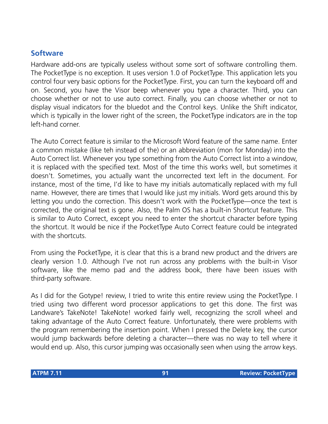## **Software**

Hardware add-ons are typically useless without some sort of software controlling them. The PocketType is no exception. It uses version 1.0 of PocketType. This application lets you control four very basic options for the PocketType. First, you can turn the keyboard off and on. Second, you have the Visor beep whenever you type a character. Third, you can choose whether or not to use auto correct. Finally, you can choose whether or not to display visual indicators for the bluedot and the Control keys. Unlike the Shift indicator, which is typically in the lower right of the screen, the PocketType indicators are in the top left-hand corner.

The Auto Correct feature is similar to the Microsoft Word feature of the same name. Enter a common mistake (like teh instead of the) or an abbreviation (mon for Monday) into the Auto Correct list. Whenever you type something from the Auto Correct list into a window, it is replaced with the specified text. Most of the time this works well, but sometimes it doesn't. Sometimes, you actually want the uncorrected text left in the document. For instance, most of the time, I'd like to have my initials automatically replaced with my full name. However, there are times that I would like just my initials. Word gets around this by letting you undo the correction. This doesn't work with the PocketType—once the text is corrected, the original text is gone. Also, the Palm OS has a built-in Shortcut feature. This is similar to Auto Correct, except you need to enter the shortcut character before typing the shortcut. It would be nice if the PocketType Auto Correct feature could be integrated with the shortcuts.

From using the PocketType, it is clear that this is a brand new product and the drivers are clearly version 1.0. Although I've not run across any problems with the built-in Visor software, like the memo pad and the address book, there have been issues with third-party software.

As I did for the Gotype! review, I tried to write this entire review using the PocketType. I tried using two different word processor applications to get this done. The first was Landware's TakeNote! TakeNote! worked fairly well, recognizing the scroll wheel and taking advantage of the Auto Correct feature. Unfortunately, there were problems with the program remembering the insertion point. When I pressed the Delete key, the cursor would jump backwards before deleting a character—there was no way to tell where it would end up. Also, this cursor jumping was occasionally seen when using the arrow keys.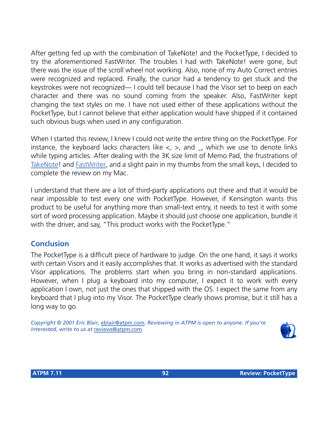After getting fed up with the combination of TakeNote! and the PocketType, I decided to try the aforementioned FastWriter. The troubles I had with TakeNote! were gone, but there was the issue of the scroll wheel not working. Also, none of my Auto Correct entries were recognized and replaced. Finally, the cursor had a tendency to get stuck and the keystrokes were not recognized— I could tell because I had the Visor set to beep on each character and there was no sound coming from the speaker. Also, FastWriter kept changing the text styles on me. I have not used either of these applications without the PocketType, but I cannot believe that either application would have shipped if it contained such obvious bugs when used in any configuration.

When I started this review, I knew I could not write the entire thing on the PocketType. For instance, the keyboard lacks characters like  $\lt$ ,  $>$ , and  $\lt$ , which we use to denote links while typing articles. After dealing with the 3K size limit of Memo Pad, the frustrations of [TakeNote!](http://www.landware.com/takenote/index.html) and [FastWriter](http://www.iambic.com/english/palmos/fastwriter/features.html), and a slight pain in my thumbs from the small keys, I decided to complete the review on my Mac.

I understand that there are a lot of third-party applications out there and that it would be near impossible to test every one with PocketType. However, if Kensington wants this product to be useful for anything more than small-text entry, it needs to test it with some sort of word processing application. Maybe it should just choose one application, bundle it with the driver, and say, "This product works with the PocketType."

## **Conclusion**

The PocketType is a difficult piece of hardware to judge. On the one hand, it says it works with certain Visors and it easily accomplishes that. It works as advertised with the standard Visor applications. The problems start when you bring in non-standard applications. However, when I plug a keyboard into my computer, I expect it to work with every application I own, not just the ones that shipped with the OS. I expect the same from any keyboard that I plug into my Visor. The PocketType clearly shows promise, but it still has a long way to go.

*Copyright © 2001 Eric Blair,* [eblair@atpm.com](mailto:eblair@atpm.com)*. Reviewing in ATPM is open to anyone. If you're interested, write to us at* [reviews@atpm.com](mailto:reviews@atpm.com)*.*

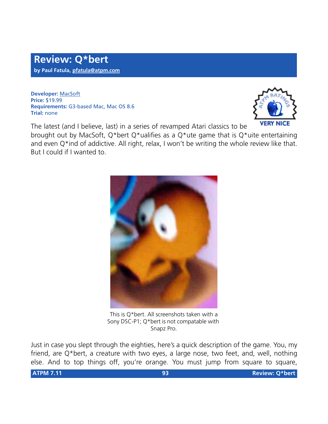**Developer:** [MacSoft](http://www.wizardworks.com/macsoft/qbert/qbert.htm) **Price:** \$19.99 **Requirements:** G3-based Mac, Mac OS 8.6 **Trial:** none



The latest (and I believe, last) in a series of revamped Atari classics to be

brought out by MacSoft, Q\*bert Q\*ualifies as a Q\*ute game that is Q\*uite entertaining and even Q\*ind of addictive. All right, relax, I won't be writing the whole review like that. But I could if I wanted to.



This is Q\*bert. All screenshots taken with a Sony DSC-P1; Q\*bert is not compatable with Snapz Pro.

Just in case you slept through the eighties, here's a quick description of the game. You, my friend, are Q\*bert, a creature with two eyes, a large nose, two feet, and, well, nothing else. And to top things off, you're orange. You must jump from square to square,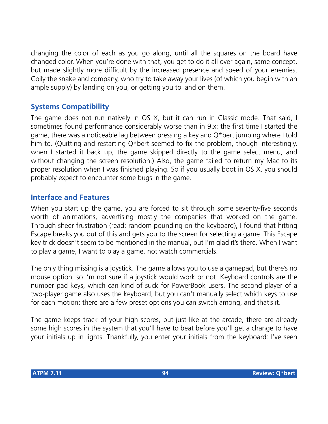changing the color of each as you go along, until all the squares on the board have changed color. When you're done with that, you get to do it all over again, same concept, but made slightly more difficult by the increased presence and speed of your enemies, Coily the snake and company, who try to take away your lives (of which you begin with an ample supply) by landing on you, or getting you to land on them.

## **Systems Compatibility**

The game does not run natively in OS X, but it can run in Classic mode. That said, I sometimes found performance considerably worse than in 9.x: the first time I started the game, there was a noticeable lag between pressing a key and Q\*bert jumping where I told him to. (Quitting and restarting Q\*bert seemed to fix the problem, though interestingly, when I started it back up, the game skipped directly to the game select menu, and without changing the screen resolution.) Also, the game failed to return my Mac to its proper resolution when I was finished playing. So if you usually boot in OS X, you should probably expect to encounter some bugs in the game.

## **Interface and Features**

When you start up the game, you are forced to sit through some seventy-five seconds worth of animations, advertising mostly the companies that worked on the game. Through sheer frustration (read: random pounding on the keyboard), I found that hitting Escape breaks you out of this and gets you to the screen for selecting a game. This Escape key trick doesn't seem to be mentioned in the manual, but I'm glad it's there. When I want to play a game, I want to play a game, not watch commercials.

The only thing missing is a joystick. The game allows you to use a gamepad, but there's no mouse option, so I'm not sure if a joystick would work or not. Keyboard controls are the number pad keys, which can kind of suck for PowerBook users. The second player of a two-player game also uses the keyboard, but you can't manually select which keys to use for each motion: there are a few preset options you can switch among, and that's it.

The game keeps track of your high scores, but just like at the arcade, there are already some high scores in the system that you'll have to beat before you'll get a change to have your initials up in lights. Thankfully, you enter your initials from the keyboard: I've seen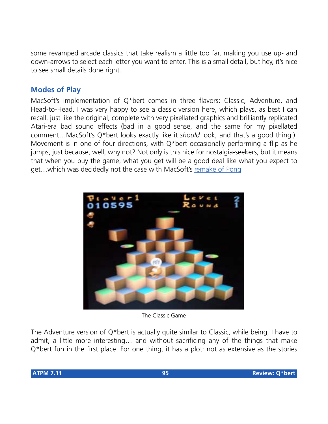some revamped arcade classics that take realism a little too far, making you use up- and down-arrows to select each letter you want to enter. This is a small detail, but hey, it's nice to see small details done right.

# **Modes of Play**

MacSoft's implementation of Q\*bert comes in three flavors: Classic, Adventure, and Head-to-Head. I was very happy to see a classic version here, which plays, as best I can recall, just like the original, complete with very pixellated graphics and brilliantly replicated Atari-era bad sound effects (bad in a good sense, and the same for my pixellated comment…MacSoft's Q\*bert looks exactly like it *should* look, and that's a good thing.). Movement is in one of four directions, with Q\*bert occasionally performing a flip as he jumps, just because, well, why not? Not only is this nice for nostalgia-seekers, but it means that when you buy the game, what you get will be a good deal like what you expect to get…which was decidedly not the case with MacSoft's [remake of Pong](http://www.atpm.com/7.10/pong.shtml)



The Classic Game

The Adventure version of Q\*bert is actually quite similar to Classic, while being, I have to admit, a little more interesting… and without sacrificing any of the things that make Q\*bert fun in the first place. For one thing, it has a plot: not as extensive as the stories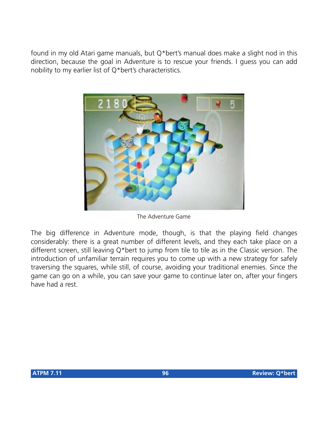found in my old Atari game manuals, but Q\*bert's manual does make a slight nod in this direction, because the goal in Adventure is to rescue your friends. I guess you can add nobility to my earlier list of Q\*bert's characteristics.



The Adventure Game

The big difference in Adventure mode, though, is that the playing field changes considerably: there is a great number of different levels, and they each take place on a different screen, still leaving Q\*bert to jump from tile to tile as in the Classic version. The introduction of unfamiliar terrain requires you to come up with a new strategy for safely traversing the squares, while still, of course, avoiding your traditional enemies. Since the game can go on a while, you can save your game to continue later on, after your fingers have had a rest.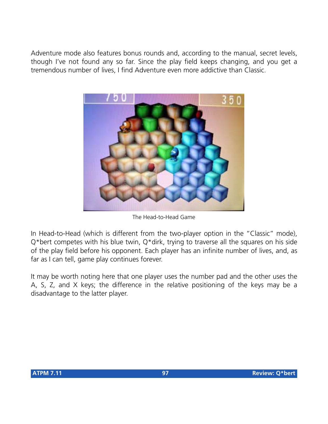Adventure mode also features bonus rounds and, according to the manual, secret levels, though I've not found any so far. Since the play field keeps changing, and you get a tremendous number of lives, I find Adventure even more addictive than Classic.



The Head-to-Head Game

In Head-to-Head (which is different from the two-player option in the "Classic" mode), Q\*bert competes with his blue twin, Q\*dirk, trying to traverse all the squares on his side of the play field before his opponent. Each player has an infinite number of lives, and, as far as I can tell, game play continues forever.

It may be worth noting here that one player uses the number pad and the other uses the A, S, Z, and X keys; the difference in the relative positioning of the keys may be a disadvantage to the latter player.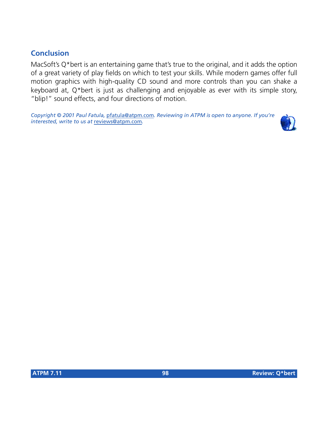# **Conclusion**

MacSoft's Q\*bert is an entertaining game that's true to the original, and it adds the option of a great variety of play fields on which to test your skills. While modern games offer full motion graphics with high-quality CD sound and more controls than you can shake a keyboard at, Q\*bert is just as challenging and enjoyable as ever with its simple story, "blip!" sound effects, and four directions of motion.

*Copyright © 2001 Paul Fatula,* [pfatula@atpm.com](mailto:pfatula@atpm.com)*. Reviewing in ATPM is open to anyone. If you're interested, write to us at* [reviews@atpm.com](mailto:reviews@atpm.com)*.*

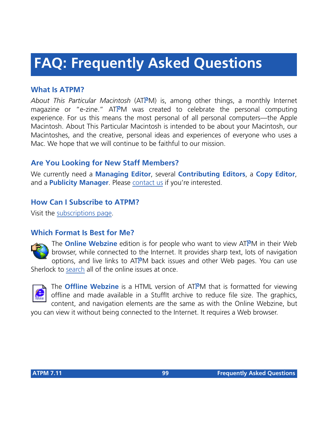# **FAQ: Frequently Asked Questions**

## **What Is ATPM?**

*About This Particular Macintosh* (ATPM) is, among other things, a monthly Internet magazine or "e-zine." ATPM was created to celebrate the personal computing experience. For us this means the most personal of all personal computers—the Apple Macintosh. About This Particular Macintosh is intended to be about your Macintosh, our Macintoshes, and the creative, personal ideas and experiences of everyone who uses a Mac. We hope that we will continue to be faithful to our mission.

# **Are You Looking for New Staff Members?**

We currently need a **Managing Editor**, several **Contributing Editors**, a **Copy Editor**, and a **Publicity Manager**. Please [contact us](mailto:editor@atpm.com) if you're interested.

## **How Can I Subscribe to ATPM?**

Visit the [subscriptions page](http://www.atpm.com/subscribe).

#### **Which Format Is Best for Me?**



The **Online Webzine** edition is for people who want to view ATPM in their Web browser, while connected to the Internet. It provides sharp text, lots of navigation options, and live links to ATPM back issues and other Web pages. You can use Sherlock to [search](http://www.atpm.com/search) all of the online issues at once.



The **Offline Webzine** is a HTML version of ATPM that is formatted for viewing offline and made available in a StuffIt archive to reduce file size. The graphics, content, and navigation elements are the same as with the Online Webzine, but

you can view it without being connected to the Internet. It requires a Web browser.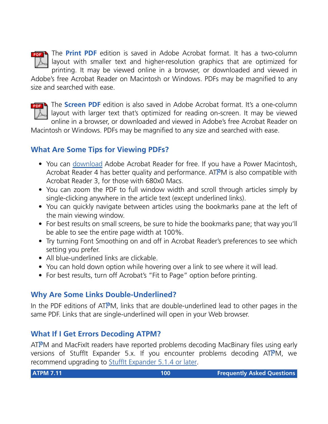

The **Print PDF** edition is saved in Adobe Acrobat format. It has a two-column layout with smaller text and higher-resolution graphics that are optimized for printing. It may be viewed online in a browser, or downloaded and viewed in

Adobe's free Acrobat Reader on Macintosh or Windows. PDFs may be magnified to any size and searched with ease.



**FREE** The **Screen PDF** edition is also saved in Adobe Acrobat format. It's a one-column layout with larger text that's optimized for reading on-screen. It may be viewed online in a browser, or downloaded and viewed in Adobe's free Acrobat Reader on

Macintosh or Windows. PDFs may be magnified to any size and searched with ease.

## **What Are Some Tips for Viewing PDFs?**

- You can [download](http://www.adobe.com/prodindex/acrobat/readstep.html) Adobe Acrobat Reader for free. If you have a Power Macintosh, Acrobat Reader 4 has better quality and performance. ATPM is also compatible with Acrobat Reader 3, for those with 680x0 Macs.
- You can zoom the PDF to full window width and scroll through articles simply by single-clicking anywhere in the article text (except underlined links).
- You can quickly navigate between articles using the bookmarks pane at the left of the main viewing window.
- For best results on small screens, be sure to hide the bookmarks pane; that way you'll be able to see the entire page width at 100%.
- Try turning Font Smoothing on and off in Acrobat Reader's preferences to see which setting you prefer.
- All blue-underlined links are clickable
- You can hold down option while hovering over a link to see where it will lead.
- For best results, turn off Acrobat's "Fit to Page" option before printing.

# **Why Are Some Links Double-Underlined?**

In the PDF editions of ATPM, links that are double-underlined lead to other pages in the same PDF. Links that are single-underlined will open in your Web browser.

## **What If I Get Errors Decoding ATPM?**

ATPM and MacFixIt readers have reported problems decoding MacBinary files using early versions of Stufflt Expander 5.x. If you encounter problems decoding ATPM, we recommend upgrading to [StuffIt Expander 5.1.4 or later](http://www.aladdinsys.com/expander/index.html).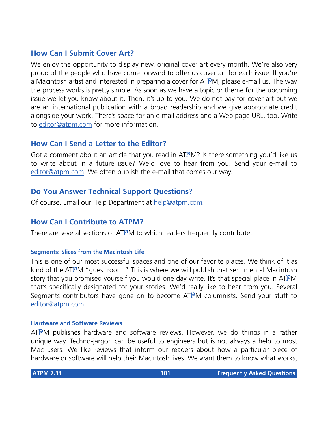## **How Can I Submit Cover Art?**

We enjoy the opportunity to display new, original cover art every month. We're also very proud of the people who have come forward to offer us cover art for each issue. If you're a Macintosh artist and interested in preparing a cover for ATPM, please e-mail us. The way the process works is pretty simple. As soon as we have a topic or theme for the upcoming issue we let you know about it. Then, it's up to you. We do not pay for cover art but we are an international publication with a broad readership and we give appropriate credit alongside your work. There's space for an e-mail address and a Web page URL, too. Write to [editor@atpm.com](mailto:editor@atpm.com) for more information.

## **How Can I Send a Letter to the Editor?**

Got a comment about an article that you read in ATPM? Is there something you'd like us to write about in a future issue? We'd love to hear from you. Send your e-mail to [editor@atpm.com.](mailto:editor@atpm.com) We often publish the e-mail that comes our way.

## **Do You Answer Technical Support Questions?**

Of course. Email our Help Department at [help@atpm.com](mailto:help@atpm.com).

#### **How Can I Contribute to ATPM?**

There are several sections of ATPM to which readers frequently contribute:

#### **Segments: Slices from the Macintosh Life**

This is one of our most successful spaces and one of our favorite places. We think of it as kind of the ATPM "guest room." This is where we will publish that sentimental Macintosh story that you promised yourself you would one day write. It's that special place in ATPM that's specifically designated for your stories. We'd really like to hear from you. Several Segments contributors have gone on to become ATPM columnists. Send your stuff to [editor@atpm.com.](mailto:editor@atpm.com)

#### **Hardware and Software Reviews**

 $ATPM$  publishes hardware and software reviews. However, we do things in a rather unique way. Techno-jargon can be useful to engineers but is not always a help to most Mac users. We like reviews that inform our readers about how a particular piece of hardware or software will help their Macintosh lives. We want them to know what works,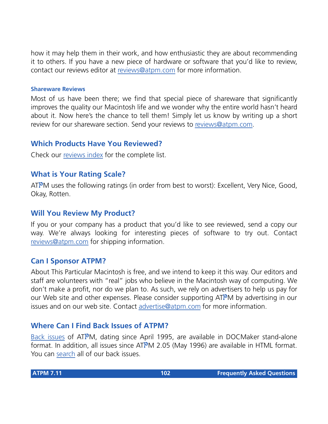how it may help them in their work, and how enthusiastic they are about recommending it to others. If you have a new piece of hardware or software that you'd like to review, contact our reviews editor at [reviews@atpm.com](mailto:reviews@atpm.com) for more information.

#### **Shareware Reviews**

Most of us have been there; we find that special piece of shareware that significantly improves the quality our Macintosh life and we wonder why the entire world hasn't heard about it. Now here's the chance to tell them! Simply let us know by writing up a short review for our shareware section. Send your reviews to [reviews@atpm.com](mailto:reviews@atpm.com).

## **Which Products Have You Reviewed?**

Check our [reviews index](http://www.atpm.com/reviews) for the complete list.

## **What is Your Rating Scale?**

ATPM uses the following ratings (in order from best to worst): Excellent, Very Nice, Good, Okay, Rotten.

#### **Will You Review My Product?**

If you or your company has a product that you'd like to see reviewed, send a copy our way. We're always looking for interesting pieces of software to try out. Contact [reviews@atpm.com](mailto:reviews@atpm.com) for shipping information.

#### **Can I Sponsor ATPM?**

About This Particular Macintosh is free, and we intend to keep it this way. Our editors and staff are volunteers with "real" jobs who believe in the Macintosh way of computing. We don't make a profit, nor do we plan to. As such, we rely on advertisers to help us pay for our Web site and other expenses. Please consider supporting ATPM by advertising in our issues and on our web site. Contact<advertise@atpm.com>for more information.

## **Where Can I Find Back Issues of ATPM?**

[Back issues](http://www.atpm.com/Back/) of ATPM, dating since April 1995, are available in DOCMaker stand-alone format. In addition, all issues since ATPM 2.05 (May 1996) are available in HTML format. You can [search](http://www.atpm.com/search) all of our back issues.